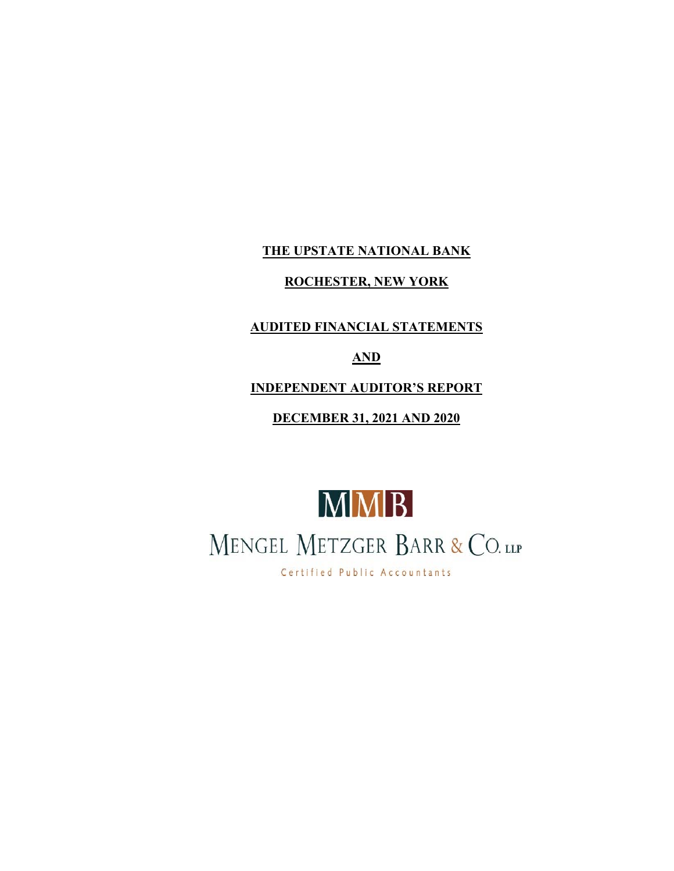**ROCHESTER, NEW YORK** 

**AUDITED FINANCIAL STATEMENTS** 

**AND** 

**INDEPENDENT AUDITOR'S REPORT** 

**DECEMBER 31, 2021 AND 2020** 



Certified Public Accountants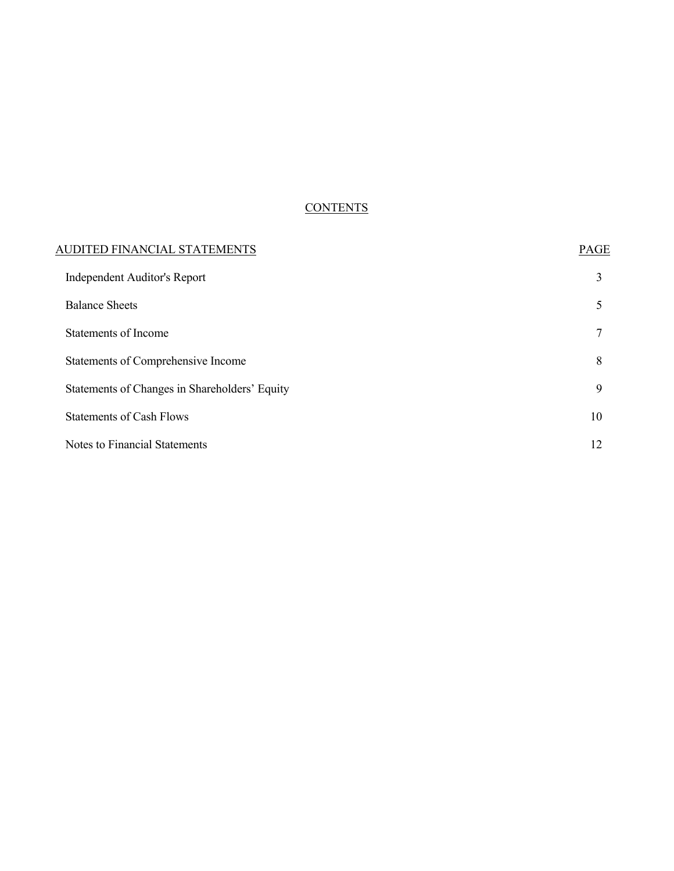# **CONTENTS**

| AUDITED FINANCIAL STATEMENTS                  | PAGE |
|-----------------------------------------------|------|
| Independent Auditor's Report                  | 3    |
| <b>Balance Sheets</b>                         | 5    |
| Statements of Income                          |      |
| Statements of Comprehensive Income            | 8    |
| Statements of Changes in Shareholders' Equity | 9    |
| <b>Statements of Cash Flows</b>               | 10   |
| Notes to Financial Statements                 | 12   |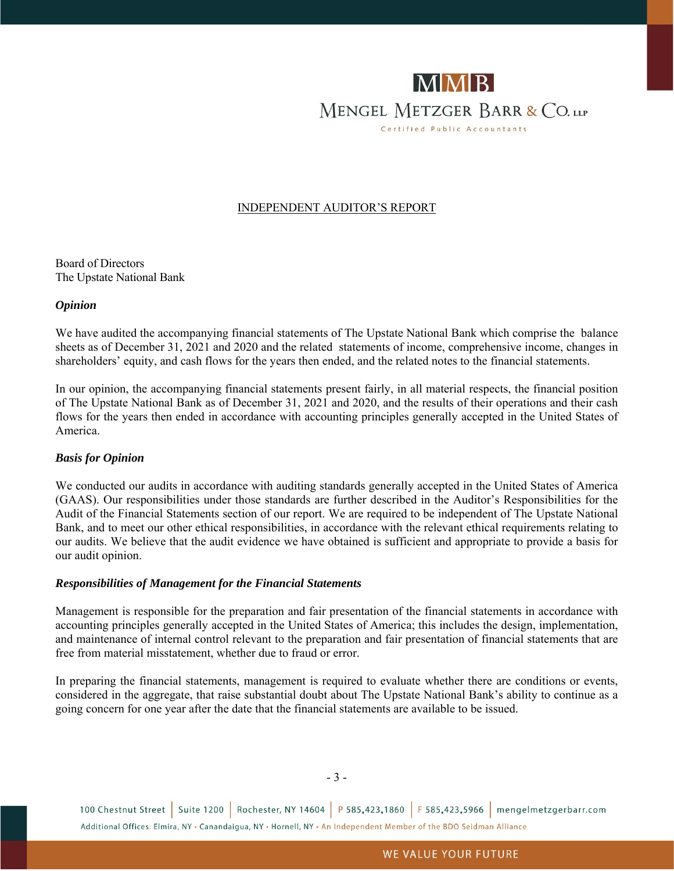

#### INDEPENDENT AUDITOR'S REPORT

Board of Directors The Upstate National Bank

#### *Opinion*

We have audited the accompanying financial statements of The Upstate National Bank which comprise the balance sheets as of December 31, 2021 and 2020 and the related statements of income, comprehensive income, changes in shareholders' equity, and cash flows for the years then ended, and the related notes to the financial statements.

In our opinion, the accompanying financial statements present fairly, in all material respects, the financial position of The Upstate National Bank as of December 31, 2021 and 2020, and the results of their operations and their cash flows for the years then ended in accordance with accounting principles generally accepted in the United States of America.

#### *Basis for Opinion*

We conducted our audits in accordance with auditing standards generally accepted in the United States of America (GAAS). Our responsibilities under those standards are further described in the Auditor's Responsibilities for the Audit of the Financial Statements section of our report. We are required to be independent of The Upstate National Bank, and to meet our other ethical responsibilities, in accordance with the relevant ethical requirements relating to our audits. We believe that the audit evidence we have obtained is sufficient and appropriate to provide a basis for our audit opinion.

#### *Responsibilities of Management for the Financial Statements*

Management is responsible for the preparation and fair presentation of the financial statements in accordance with accounting principles generally accepted in the United States of America; this includes the design, implementation, and maintenance of internal control relevant to the preparation and fair presentation of financial statements that are free from material misstatement, whether due to fraud or error.

In preparing the financial statements, management is required to evaluate whether there are conditions or events, considered in the aggregate, that raise substantial doubt about The Upstate National Bank's ability to continue as a going concern for one year after the date that the financial statements are available to be issued.

- 3 -

100 Chestnut Street Suite 1200 Rochester, NY 14604 P 585,423,1860 F 585,423,5966 mengelmetzgerbarr.com Additional Offices: Elmira, NY · Canandaigua, NY · Hornell, NY · An Independent Member of the BDO Seidman Alliance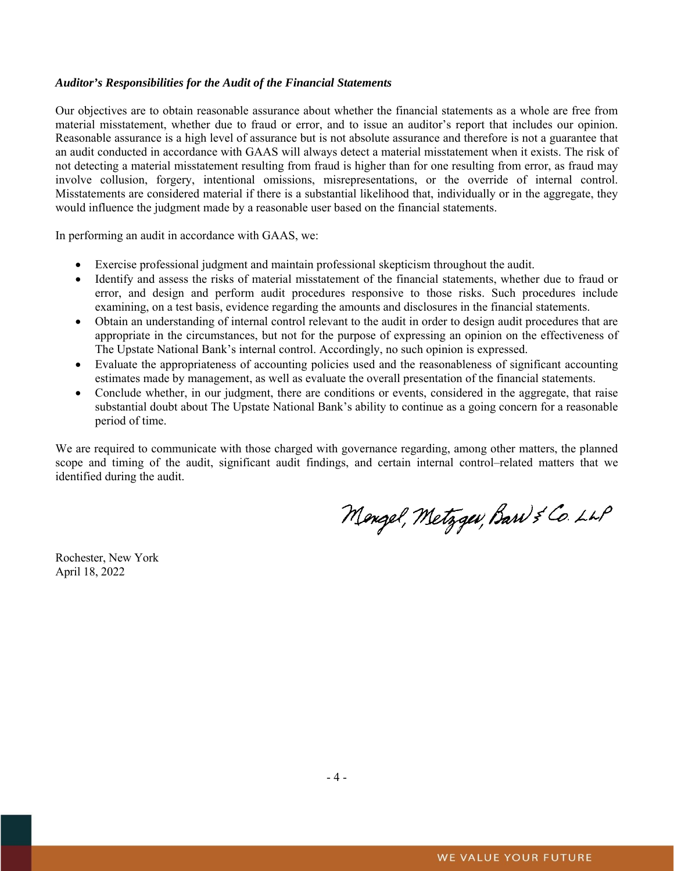### *Auditor's Responsibilities for the Audit of the Financial Statements*

Our objectives are to obtain reasonable assurance about whether the financial statements as a whole are free from material misstatement, whether due to fraud or error, and to issue an auditor's report that includes our opinion. Reasonable assurance is a high level of assurance but is not absolute assurance and therefore is not a guarantee that an audit conducted in accordance with GAAS will always detect a material misstatement when it exists. The risk of not detecting a material misstatement resulting from fraud is higher than for one resulting from error, as fraud may involve collusion, forgery, intentional omissions, misrepresentations, or the override of internal control. Misstatements are considered material if there is a substantial likelihood that, individually or in the aggregate, they would influence the judgment made by a reasonable user based on the financial statements.

In performing an audit in accordance with GAAS, we:

- Exercise professional judgment and maintain professional skepticism throughout the audit.
- Identify and assess the risks of material misstatement of the financial statements, whether due to fraud or error, and design and perform audit procedures responsive to those risks. Such procedures include examining, on a test basis, evidence regarding the amounts and disclosures in the financial statements.
- Obtain an understanding of internal control relevant to the audit in order to design audit procedures that are appropriate in the circumstances, but not for the purpose of expressing an opinion on the effectiveness of The Upstate National Bank's internal control. Accordingly, no such opinion is expressed.
- Evaluate the appropriateness of accounting policies used and the reasonableness of significant accounting estimates made by management, as well as evaluate the overall presentation of the financial statements.
- Conclude whether, in our judgment, there are conditions or events, considered in the aggregate, that raise substantial doubt about The Upstate National Bank's ability to continue as a going concern for a reasonable period of time.

We are required to communicate with those charged with governance regarding, among other matters, the planned scope and timing of the audit, significant audit findings, and certain internal control–related matters that we identified during the audit.

Mongel, Metzger, Barr) & Co. LLP

Rochester, New York April 18, 2022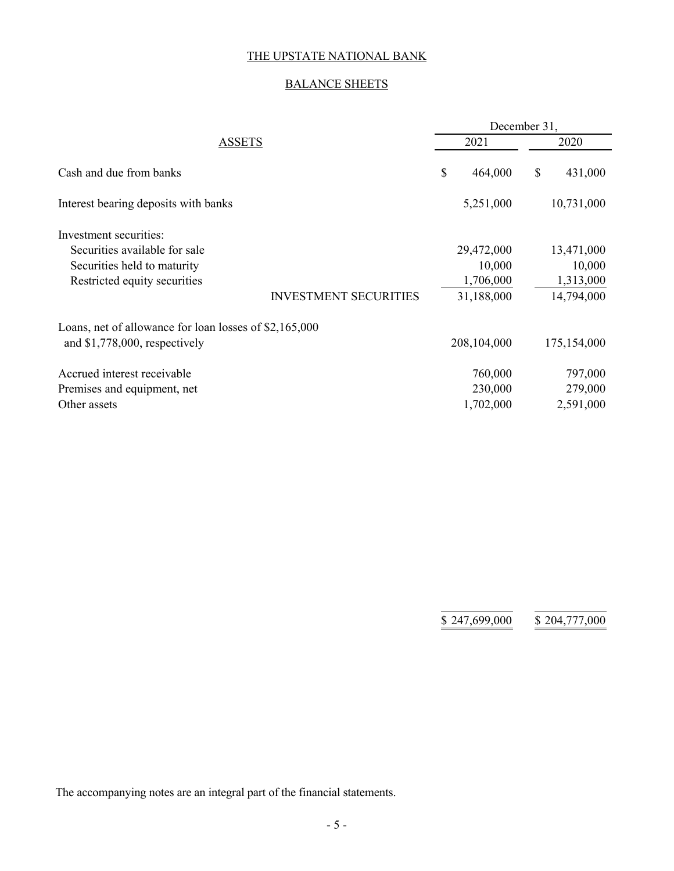# BALANCE SHEETS

|                                                        | December 31,  |      |             |  |  |
|--------------------------------------------------------|---------------|------|-------------|--|--|
| <b>ASSETS</b>                                          | 2021          | 2020 |             |  |  |
| Cash and due from banks                                | \$<br>464,000 | \$   | 431,000     |  |  |
| Interest bearing deposits with banks                   | 5,251,000     |      | 10,731,000  |  |  |
| Investment securities:                                 |               |      |             |  |  |
| Securities available for sale                          | 29,472,000    |      | 13,471,000  |  |  |
| Securities held to maturity                            | 10,000        |      | 10,000      |  |  |
| Restricted equity securities                           | 1,706,000     |      | 1,313,000   |  |  |
| <b>INVESTMENT SECURITIES</b>                           | 31,188,000    |      | 14,794,000  |  |  |
| Loans, net of allowance for loan losses of \$2,165,000 |               |      |             |  |  |
| and $$1,778,000$ , respectively                        | 208,104,000   |      | 175,154,000 |  |  |
| Accrued interest receivable                            | 760,000       |      | 797,000     |  |  |
| Premises and equipment, net                            | 230,000       |      | 279,000     |  |  |
| Other assets                                           | 1,702,000     |      | 2,591,000   |  |  |

 $\overline{$}$  247,699,000  $\overline{$}$  204,777,000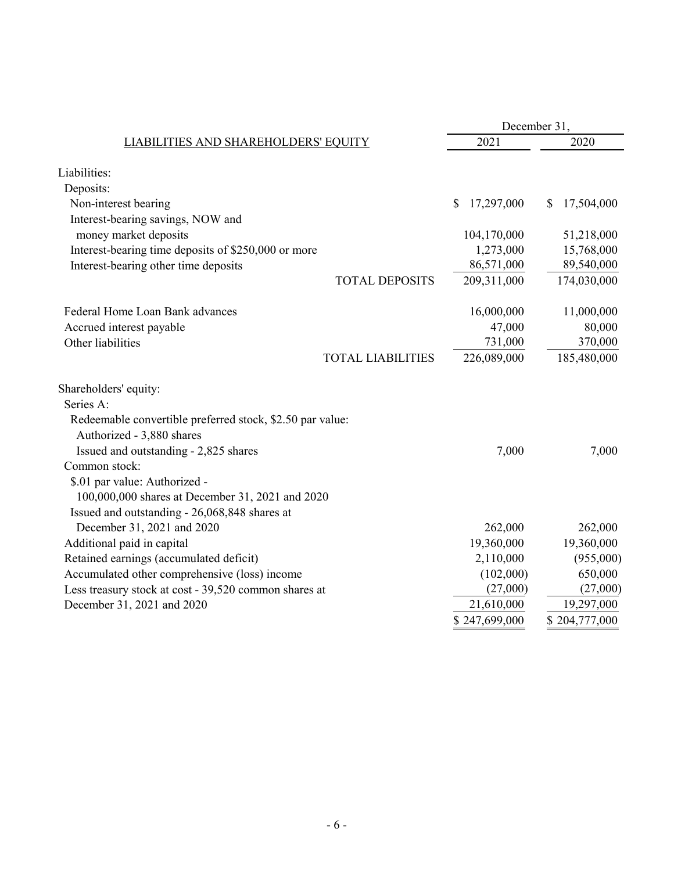|                                                           | December 31,     |                 |  |  |  |
|-----------------------------------------------------------|------------------|-----------------|--|--|--|
| <b>LIABILITIES AND SHAREHOLDERS' EQUITY</b>               | 2021             | 2020            |  |  |  |
| Liabilities:                                              |                  |                 |  |  |  |
| Deposits:                                                 |                  |                 |  |  |  |
| Non-interest bearing                                      | \$<br>17,297,000 | 17,504,000<br>S |  |  |  |
| Interest-bearing savings, NOW and                         |                  |                 |  |  |  |
| money market deposits                                     | 104,170,000      | 51,218,000      |  |  |  |
| Interest-bearing time deposits of \$250,000 or more       | 1,273,000        | 15,768,000      |  |  |  |
| Interest-bearing other time deposits                      | 86,571,000       | 89,540,000      |  |  |  |
| <b>TOTAL DEPOSITS</b>                                     | 209,311,000      | 174,030,000     |  |  |  |
| Federal Home Loan Bank advances                           | 16,000,000       | 11,000,000      |  |  |  |
| Accrued interest payable                                  | 47,000           | 80,000          |  |  |  |
| Other liabilities                                         | 731,000          | 370,000         |  |  |  |
| <b>TOTAL LIABILITIES</b>                                  | 226,089,000      | 185,480,000     |  |  |  |
| Shareholders' equity:                                     |                  |                 |  |  |  |
| Series A:                                                 |                  |                 |  |  |  |
| Redeemable convertible preferred stock, \$2.50 par value: |                  |                 |  |  |  |
| Authorized - 3,880 shares                                 |                  |                 |  |  |  |
| Issued and outstanding - 2,825 shares                     | 7,000            | 7,000           |  |  |  |
| Common stock:                                             |                  |                 |  |  |  |
| \$.01 par value: Authorized -                             |                  |                 |  |  |  |
| 100,000,000 shares at December 31, 2021 and 2020          |                  |                 |  |  |  |
| Issued and outstanding - 26,068,848 shares at             |                  |                 |  |  |  |
| December 31, 2021 and 2020                                | 262,000          | 262,000         |  |  |  |
| Additional paid in capital                                | 19,360,000       | 19,360,000      |  |  |  |
| Retained earnings (accumulated deficit)                   | 2,110,000        | (955,000)       |  |  |  |
| Accumulated other comprehensive (loss) income             | (102,000)        | 650,000         |  |  |  |
| Less treasury stock at cost - 39,520 common shares at     | (27,000)         | (27,000)        |  |  |  |
| December 31, 2021 and 2020                                | 21,610,000       | 19,297,000      |  |  |  |
|                                                           | \$247,699,000    | \$204,777,000   |  |  |  |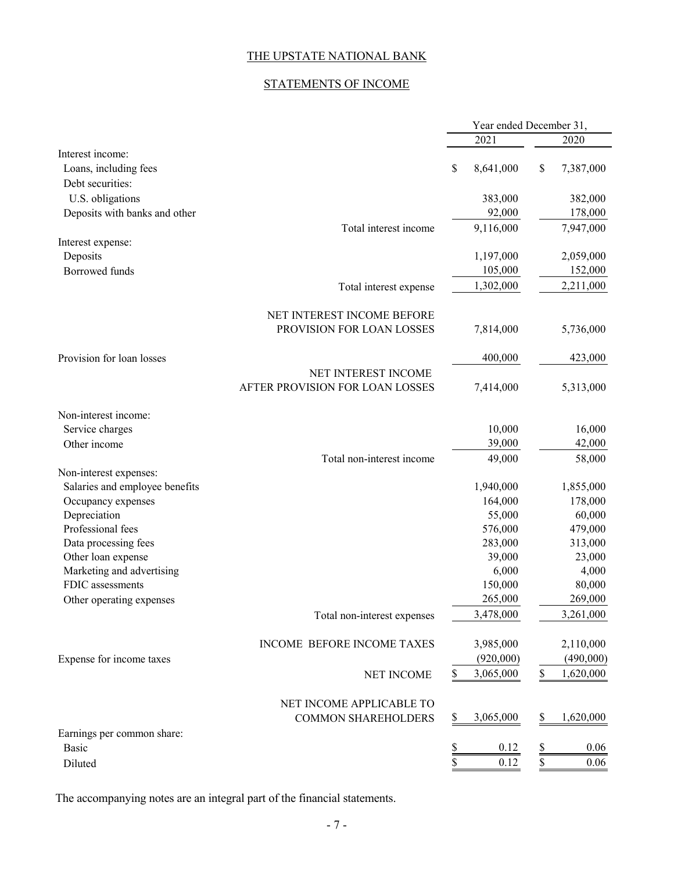# STATEMENTS OF INCOME

|                                   |                             | Year ended December 31, |             |           |  |
|-----------------------------------|-----------------------------|-------------------------|-------------|-----------|--|
|                                   |                             | 2021                    |             | 2020      |  |
| Interest income:                  |                             |                         |             |           |  |
| Loans, including fees             | \$                          | 8,641,000               | \$          | 7,387,000 |  |
| Debt securities:                  |                             |                         |             |           |  |
| U.S. obligations                  |                             | 383,000                 |             | 382,000   |  |
| Deposits with banks and other     |                             | 92,000                  |             | 178,000   |  |
|                                   | Total interest income       | 9,116,000               |             | 7,947,000 |  |
| Interest expense:                 |                             |                         |             |           |  |
| Deposits                          |                             | 1,197,000               |             | 2,059,000 |  |
| <b>Borrowed</b> funds             |                             | 105,000                 |             | 152,000   |  |
|                                   | Total interest expense      | 1,302,000               |             | 2,211,000 |  |
| NET INTEREST INCOME BEFORE        |                             |                         |             |           |  |
| PROVISION FOR LOAN LOSSES         |                             | 7,814,000               |             | 5,736,000 |  |
| Provision for loan losses         |                             | 400,000                 |             | 423,000   |  |
|                                   | NET INTEREST INCOME         |                         |             |           |  |
| AFTER PROVISION FOR LOAN LOSSES   |                             | 7,414,000               |             | 5,313,000 |  |
| Non-interest income:              |                             |                         |             |           |  |
| Service charges                   |                             | 10,000                  |             | 16,000    |  |
| Other income                      |                             | 39,000                  |             | 42,000    |  |
|                                   | Total non-interest income   | 49,000                  |             | 58,000    |  |
| Non-interest expenses:            |                             |                         |             |           |  |
| Salaries and employee benefits    |                             | 1,940,000               |             | 1,855,000 |  |
| Occupancy expenses                |                             | 164,000                 |             | 178,000   |  |
| Depreciation                      |                             | 55,000                  |             | 60,000    |  |
| Professional fees                 |                             | 576,000                 |             | 479,000   |  |
| Data processing fees              |                             | 283,000                 |             | 313,000   |  |
| Other loan expense                |                             | 39,000                  |             | 23,000    |  |
| Marketing and advertising         |                             | 6,000                   |             | 4,000     |  |
| FDIC assessments                  |                             | 150,000                 |             | 80,000    |  |
| Other operating expenses          |                             | 265,000                 |             | 269,000   |  |
|                                   | Total non-interest expenses | 3,478,000               |             | 3,261,000 |  |
| <b>INCOME BEFORE INCOME TAXES</b> |                             |                         |             |           |  |
|                                   |                             | 3,985,000               |             | 2,110,000 |  |
| Expense for income taxes          |                             | (920,000)               |             | (490,000) |  |
|                                   | <b>NET INCOME</b>           | \$<br>3,065,000         | \$          | 1,620,000 |  |
|                                   | NET INCOME APPLICABLE TO    |                         |             |           |  |
|                                   | <b>COMMON SHAREHOLDERS</b>  | 3,065,000<br>\$         | \$          | 1,620,000 |  |
| Earnings per common share:        |                             |                         |             |           |  |
| <b>Basic</b>                      | $\frac{1}{2}$               | 0.12                    | \$          | 0.06      |  |
| Diluted                           |                             | \$<br>0.12              | $\mathbb S$ | 0.06      |  |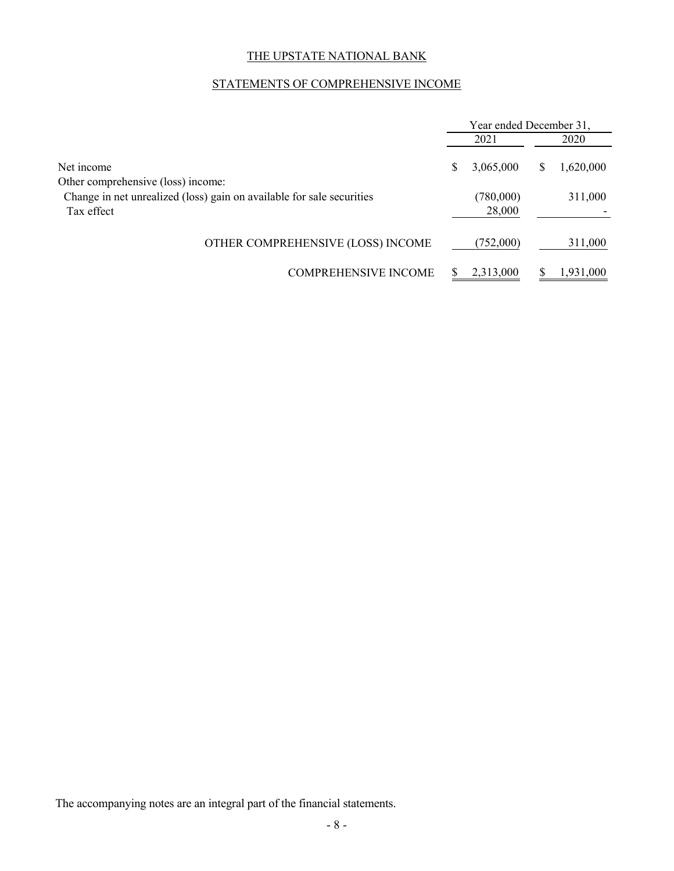# STATEMENTS OF COMPREHENSIVE INCOME

|                                                                       | Year ended December 31, |  |           |  |
|-----------------------------------------------------------------------|-------------------------|--|-----------|--|
|                                                                       | 2021                    |  | 2020      |  |
| Net income                                                            | \$<br>3,065,000         |  | 1,620,000 |  |
| Other comprehensive (loss) income:                                    |                         |  |           |  |
| Change in net unrealized (loss) gain on available for sale securities | (780,000)               |  | 311,000   |  |
| Tax effect                                                            | 28,000                  |  |           |  |
| OTHER COMPREHENSIVE (LOSS) INCOME                                     | (752,000)               |  | 311,000   |  |
| <b>COMPREHENSIVE INCOME</b>                                           | 2,313,000               |  | 1,931,000 |  |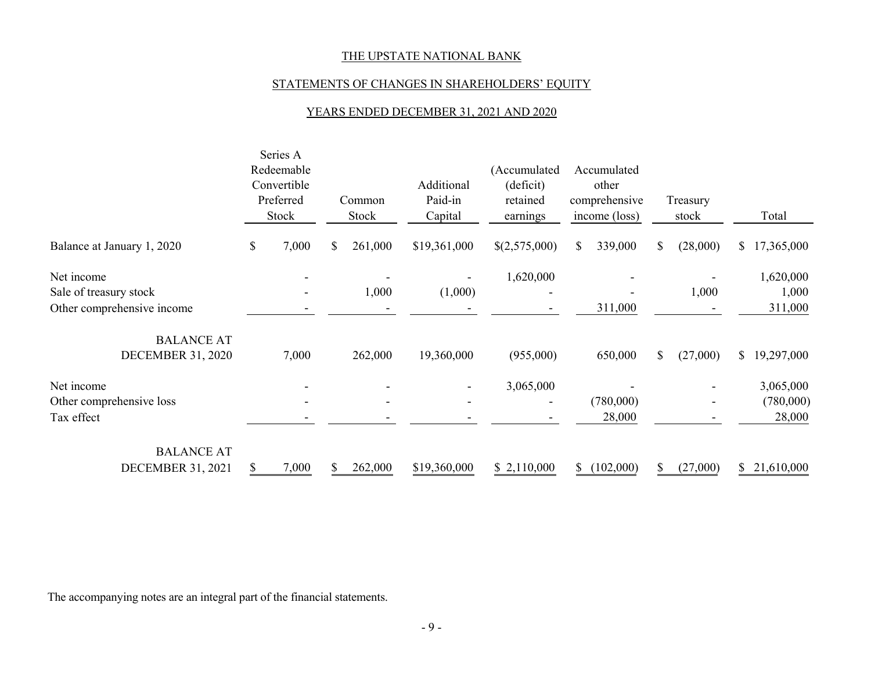# STATEMENTS OF CHANGES IN SHAREHOLDERS' EQUITY

# YEARS ENDED DECEMBER 31, 2021 AND 2020

|                            | Series A<br>Redeemable<br>Convertible<br>Preferred<br>Stock | Common<br><b>Stock</b> | Additional<br>Paid-in<br>Capital | (Accumulated<br>(deficit)<br>retained<br>earnings | Accumulated<br>other<br>comprehensive<br>income (loss) | Treasury<br>stock                     | Total            |
|----------------------------|-------------------------------------------------------------|------------------------|----------------------------------|---------------------------------------------------|--------------------------------------------------------|---------------------------------------|------------------|
| Balance at January 1, 2020 | 7,000<br>\$                                                 | \$<br>261,000          | \$19,361,000                     | \$(2,575,000)                                     | \$<br>339,000                                          | $\boldsymbol{\mathsf{S}}$<br>(28,000) | \$<br>17,365,000 |
| Net income                 |                                                             |                        |                                  | 1,620,000                                         |                                                        |                                       | 1,620,000        |
| Sale of treasury stock     |                                                             | 1,000                  | (1,000)                          |                                                   |                                                        | 1,000                                 | 1,000            |
| Other comprehensive income |                                                             |                        |                                  |                                                   | 311,000                                                |                                       | 311,000          |
| <b>BALANCE AT</b>          |                                                             |                        |                                  |                                                   |                                                        |                                       |                  |
| <b>DECEMBER 31, 2020</b>   | 7,000                                                       | 262,000                | 19,360,000                       | (955,000)                                         | 650,000                                                | \$<br>(27,000)                        | \$<br>19,297,000 |
| Net income                 |                                                             |                        |                                  | 3,065,000                                         |                                                        |                                       | 3,065,000        |
| Other comprehensive loss   |                                                             |                        |                                  |                                                   | (780,000)                                              |                                       | (780,000)        |
| Tax effect                 |                                                             |                        |                                  |                                                   | 28,000                                                 |                                       | 28,000           |
| <b>BALANCE AT</b>          |                                                             |                        |                                  |                                                   |                                                        |                                       |                  |
| <b>DECEMBER 31, 2021</b>   | 7,000                                                       | 262,000                | \$19,360,000                     | \$2,110,000                                       | \$<br>(102,000)                                        | \$<br>(27,000)                        | \$<br>21,610,000 |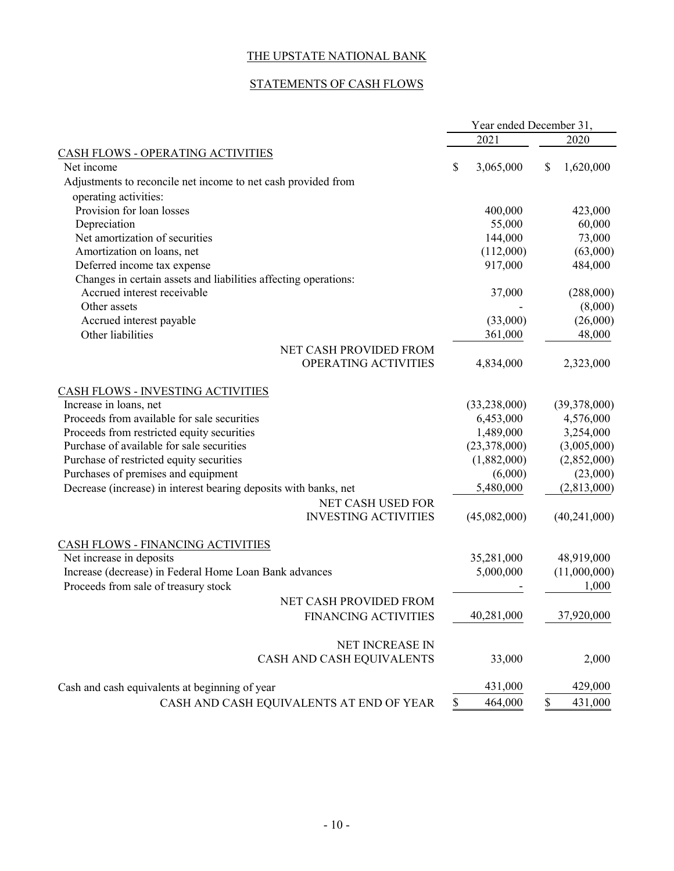# STATEMENTS OF CASH FLOWS

|                                                                  | Year ended December 31,              |                          |  |
|------------------------------------------------------------------|--------------------------------------|--------------------------|--|
|                                                                  | 2021                                 | 2020                     |  |
| CASH FLOWS - OPERATING ACTIVITIES                                |                                      |                          |  |
| Net income                                                       | \$<br>3,065,000                      | 1,620,000<br>\$          |  |
| Adjustments to reconcile net income to net cash provided from    |                                      |                          |  |
| operating activities:                                            |                                      |                          |  |
| Provision for loan losses                                        | 400,000                              | 423,000                  |  |
| Depreciation                                                     | 55,000                               | 60,000                   |  |
| Net amortization of securities                                   | 144,000                              | 73,000                   |  |
| Amortization on loans, net                                       | (112,000)                            | (63,000)                 |  |
| Deferred income tax expense                                      | 917,000                              | 484,000                  |  |
| Changes in certain assets and liabilities affecting operations:  |                                      |                          |  |
| Accrued interest receivable                                      | 37,000                               | (288,000)                |  |
| Other assets                                                     |                                      | (8,000)                  |  |
| Accrued interest payable                                         | (33,000)                             | (26,000)                 |  |
| Other liabilities                                                | 361,000                              | 48,000                   |  |
| NET CASH PROVIDED FROM                                           |                                      |                          |  |
| OPERATING ACTIVITIES                                             | 4,834,000                            | 2,323,000                |  |
|                                                                  |                                      |                          |  |
| <b>CASH FLOWS - INVESTING ACTIVITIES</b>                         |                                      |                          |  |
| Increase in loans, net                                           | (33, 238, 000)                       | (39,378,000)             |  |
| Proceeds from available for sale securities                      | 6,453,000                            | 4,576,000                |  |
| Proceeds from restricted equity securities                       | 1,489,000                            | 3,254,000                |  |
| Purchase of available for sale securities                        | (23,378,000)                         | (3,005,000)              |  |
| Purchase of restricted equity securities                         | (1,882,000)                          | (2,852,000)              |  |
| Purchases of premises and equipment                              | (6,000)                              | (23,000)                 |  |
| Decrease (increase) in interest bearing deposits with banks, net | 5,480,000                            | (2,813,000)              |  |
| NET CASH USED FOR                                                |                                      |                          |  |
| <b>INVESTING ACTIVITIES</b>                                      | (45,082,000)                         | (40,241,000)             |  |
|                                                                  |                                      |                          |  |
| <b>CASH FLOWS - FINANCING ACTIVITIES</b>                         |                                      |                          |  |
| Net increase in deposits                                         | 35,281,000                           | 48,919,000               |  |
| Increase (decrease) in Federal Home Loan Bank advances           | 5,000,000                            | (11,000,000)             |  |
| Proceeds from sale of treasury stock                             |                                      | 1,000                    |  |
| NET CASH PROVIDED FROM                                           |                                      |                          |  |
| <b>FINANCING ACTIVITIES</b>                                      | 40,281,000                           | 37,920,000               |  |
|                                                                  |                                      |                          |  |
| NET INCREASE IN                                                  |                                      |                          |  |
| CASH AND CASH EQUIVALENTS                                        | 33,000                               | 2,000                    |  |
|                                                                  |                                      |                          |  |
| Cash and cash equivalents at beginning of year                   | 431,000                              | 429,000                  |  |
| CASH AND CASH EQUIVALENTS AT END OF YEAR                         | $\boldsymbol{\mathsf{S}}$<br>464,000 | $\mathsf{\$}$<br>431,000 |  |
|                                                                  |                                      |                          |  |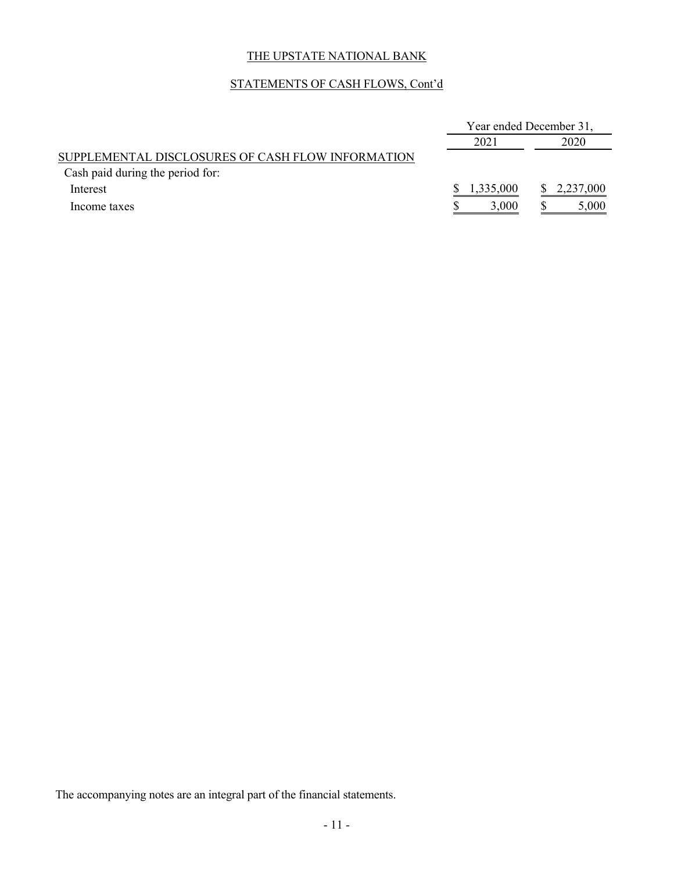# STATEMENTS OF CASH FLOWS, Cont'd

|                                                   | Year ended December 31. |             |  |  |
|---------------------------------------------------|-------------------------|-------------|--|--|
|                                                   | 2021                    | 2020        |  |  |
| SUPPLEMENTAL DISCLOSURES OF CASH FLOW INFORMATION |                         |             |  |  |
| Cash paid during the period for:                  |                         |             |  |  |
| Interest                                          | 1,335,000               | \$2,237,000 |  |  |
| Income taxes                                      | 3,000                   | 5,000       |  |  |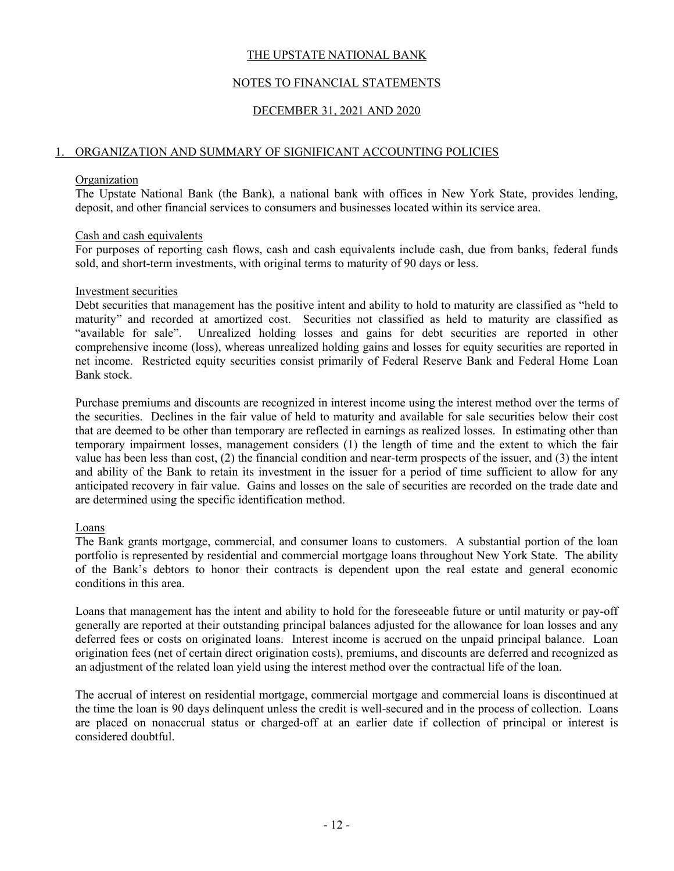# NOTES TO FINANCIAL STATEMENTS

# DECEMBER 31, 2021 AND 2020

# 1. ORGANIZATION AND SUMMARY OF SIGNIFICANT ACCOUNTING POLICIES

#### **Organization**

The Upstate National Bank (the Bank), a national bank with offices in New York State, provides lending, deposit, and other financial services to consumers and businesses located within its service area.

#### Cash and cash equivalents

For purposes of reporting cash flows, cash and cash equivalents include cash, due from banks, federal funds sold, and short-term investments, with original terms to maturity of 90 days or less.

#### Investment securities

Debt securities that management has the positive intent and ability to hold to maturity are classified as "held to maturity" and recorded at amortized cost. Securities not classified as held to maturity are classified as "available for sale". Unrealized holding losses and gains for debt securities are reported in other comprehensive income (loss), whereas unrealized holding gains and losses for equity securities are reported in net income. Restricted equity securities consist primarily of Federal Reserve Bank and Federal Home Loan Bank stock.

Purchase premiums and discounts are recognized in interest income using the interest method over the terms of the securities. Declines in the fair value of held to maturity and available for sale securities below their cost that are deemed to be other than temporary are reflected in earnings as realized losses. In estimating other than temporary impairment losses, management considers (1) the length of time and the extent to which the fair value has been less than cost, (2) the financial condition and near-term prospects of the issuer, and (3) the intent and ability of the Bank to retain its investment in the issuer for a period of time sufficient to allow for any anticipated recovery in fair value. Gains and losses on the sale of securities are recorded on the trade date and are determined using the specific identification method.

# Loans

The Bank grants mortgage, commercial, and consumer loans to customers. A substantial portion of the loan portfolio is represented by residential and commercial mortgage loans throughout New York State. The ability of the Bank's debtors to honor their contracts is dependent upon the real estate and general economic conditions in this area.

Loans that management has the intent and ability to hold for the foreseeable future or until maturity or pay-off generally are reported at their outstanding principal balances adjusted for the allowance for loan losses and any deferred fees or costs on originated loans. Interest income is accrued on the unpaid principal balance. Loan origination fees (net of certain direct origination costs), premiums, and discounts are deferred and recognized as an adjustment of the related loan yield using the interest method over the contractual life of the loan.

The accrual of interest on residential mortgage, commercial mortgage and commercial loans is discontinued at the time the loan is 90 days delinquent unless the credit is well-secured and in the process of collection. Loans are placed on nonaccrual status or charged-off at an earlier date if collection of principal or interest is considered doubtful.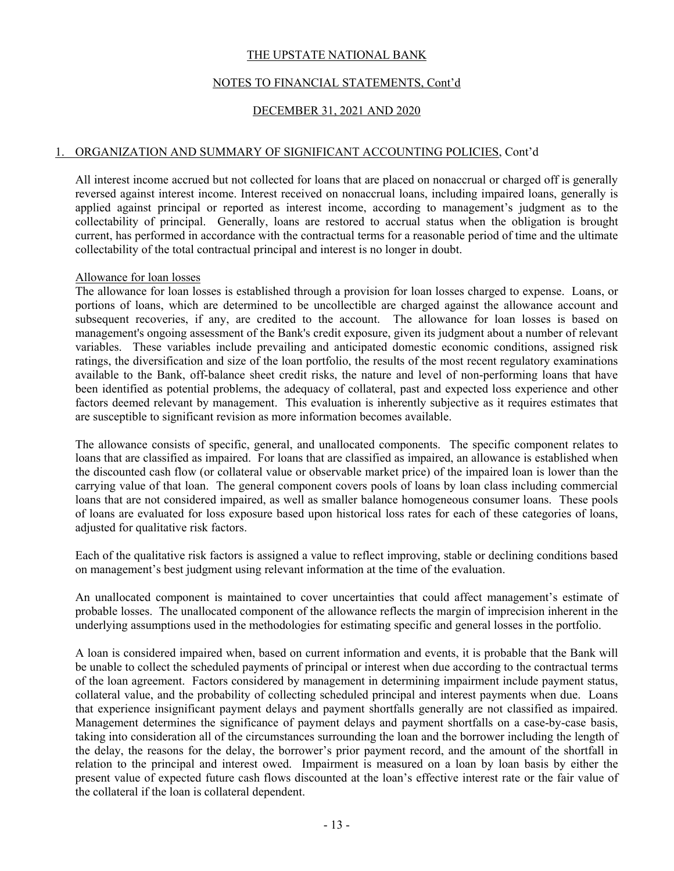# NOTES TO FINANCIAL STATEMENTS, Cont'd

# DECEMBER 31, 2021 AND 2020

# 1. ORGANIZATION AND SUMMARY OF SIGNIFICANT ACCOUNTING POLICIES, Cont'd

All interest income accrued but not collected for loans that are placed on nonaccrual or charged off is generally reversed against interest income. Interest received on nonaccrual loans, including impaired loans, generally is applied against principal or reported as interest income, according to management's judgment as to the collectability of principal. Generally, loans are restored to accrual status when the obligation is brought current, has performed in accordance with the contractual terms for a reasonable period of time and the ultimate collectability of the total contractual principal and interest is no longer in doubt.

#### Allowance for loan losses

The allowance for loan losses is established through a provision for loan losses charged to expense. Loans, or portions of loans, which are determined to be uncollectible are charged against the allowance account and subsequent recoveries, if any, are credited to the account. The allowance for loan losses is based on management's ongoing assessment of the Bank's credit exposure, given its judgment about a number of relevant variables. These variables include prevailing and anticipated domestic economic conditions, assigned risk ratings, the diversification and size of the loan portfolio, the results of the most recent regulatory examinations available to the Bank, off-balance sheet credit risks, the nature and level of non-performing loans that have been identified as potential problems, the adequacy of collateral, past and expected loss experience and other factors deemed relevant by management. This evaluation is inherently subjective as it requires estimates that are susceptible to significant revision as more information becomes available.

The allowance consists of specific, general, and unallocated components. The specific component relates to loans that are classified as impaired. For loans that are classified as impaired, an allowance is established when the discounted cash flow (or collateral value or observable market price) of the impaired loan is lower than the carrying value of that loan. The general component covers pools of loans by loan class including commercial loans that are not considered impaired, as well as smaller balance homogeneous consumer loans. These pools of loans are evaluated for loss exposure based upon historical loss rates for each of these categories of loans, adjusted for qualitative risk factors.

Each of the qualitative risk factors is assigned a value to reflect improving, stable or declining conditions based on management's best judgment using relevant information at the time of the evaluation.

An unallocated component is maintained to cover uncertainties that could affect management's estimate of probable losses. The unallocated component of the allowance reflects the margin of imprecision inherent in the underlying assumptions used in the methodologies for estimating specific and general losses in the portfolio.

A loan is considered impaired when, based on current information and events, it is probable that the Bank will be unable to collect the scheduled payments of principal or interest when due according to the contractual terms of the loan agreement. Factors considered by management in determining impairment include payment status, collateral value, and the probability of collecting scheduled principal and interest payments when due. Loans that experience insignificant payment delays and payment shortfalls generally are not classified as impaired. Management determines the significance of payment delays and payment shortfalls on a case-by-case basis, taking into consideration all of the circumstances surrounding the loan and the borrower including the length of the delay, the reasons for the delay, the borrower's prior payment record, and the amount of the shortfall in relation to the principal and interest owed. Impairment is measured on a loan by loan basis by either the present value of expected future cash flows discounted at the loan's effective interest rate or the fair value of the collateral if the loan is collateral dependent.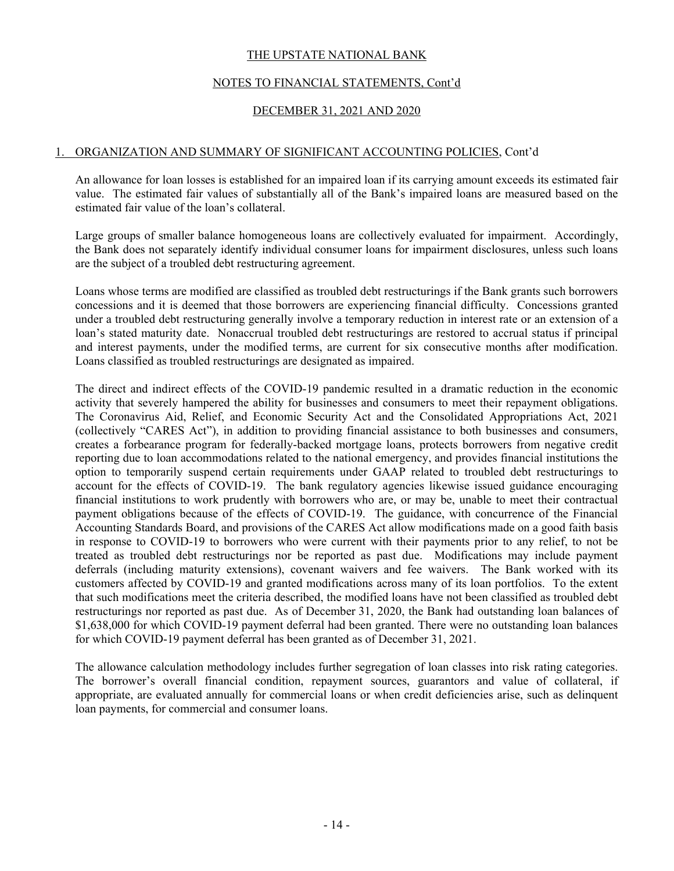# NOTES TO FINANCIAL STATEMENTS, Cont'd

# DECEMBER 31, 2021 AND 2020

# 1. ORGANIZATION AND SUMMARY OF SIGNIFICANT ACCOUNTING POLICIES, Cont'd

An allowance for loan losses is established for an impaired loan if its carrying amount exceeds its estimated fair value. The estimated fair values of substantially all of the Bank's impaired loans are measured based on the estimated fair value of the loan's collateral.

Large groups of smaller balance homogeneous loans are collectively evaluated for impairment. Accordingly, the Bank does not separately identify individual consumer loans for impairment disclosures, unless such loans are the subject of a troubled debt restructuring agreement.

Loans whose terms are modified are classified as troubled debt restructurings if the Bank grants such borrowers concessions and it is deemed that those borrowers are experiencing financial difficulty. Concessions granted under a troubled debt restructuring generally involve a temporary reduction in interest rate or an extension of a loan's stated maturity date. Nonaccrual troubled debt restructurings are restored to accrual status if principal and interest payments, under the modified terms, are current for six consecutive months after modification. Loans classified as troubled restructurings are designated as impaired.

The direct and indirect effects of the COVID-19 pandemic resulted in a dramatic reduction in the economic activity that severely hampered the ability for businesses and consumers to meet their repayment obligations. The Coronavirus Aid, Relief, and Economic Security Act and the Consolidated Appropriations Act, 2021 (collectively "CARES Act"), in addition to providing financial assistance to both businesses and consumers, creates a forbearance program for federally-backed mortgage loans, protects borrowers from negative credit reporting due to loan accommodations related to the national emergency, and provides financial institutions the option to temporarily suspend certain requirements under GAAP related to troubled debt restructurings to account for the effects of COVID-19. The bank regulatory agencies likewise issued guidance encouraging financial institutions to work prudently with borrowers who are, or may be, unable to meet their contractual payment obligations because of the effects of COVID-19. The guidance, with concurrence of the Financial Accounting Standards Board, and provisions of the CARES Act allow modifications made on a good faith basis in response to COVID-19 to borrowers who were current with their payments prior to any relief, to not be treated as troubled debt restructurings nor be reported as past due. Modifications may include payment deferrals (including maturity extensions), covenant waivers and fee waivers. The Bank worked with its customers affected by COVID-19 and granted modifications across many of its loan portfolios. To the extent that such modifications meet the criteria described, the modified loans have not been classified as troubled debt restructurings nor reported as past due. As of December 31, 2020, the Bank had outstanding loan balances of \$1,638,000 for which COVID-19 payment deferral had been granted. There were no outstanding loan balances for which COVID-19 payment deferral has been granted as of December 31, 2021.

The allowance calculation methodology includes further segregation of loan classes into risk rating categories. The borrower's overall financial condition, repayment sources, guarantors and value of collateral, if appropriate, are evaluated annually for commercial loans or when credit deficiencies arise, such as delinquent loan payments, for commercial and consumer loans.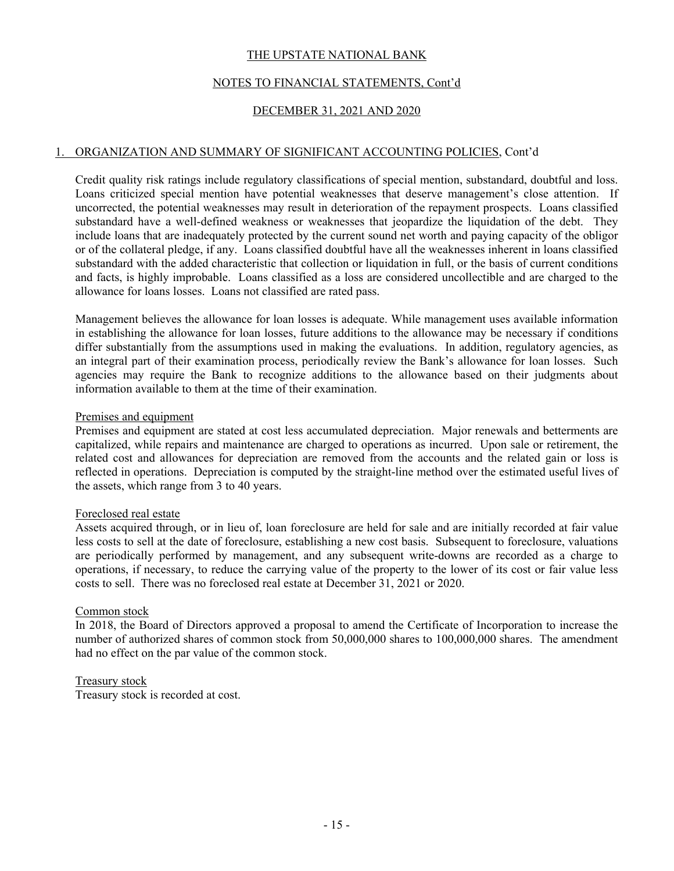# NOTES TO FINANCIAL STATEMENTS, Cont'd

# DECEMBER 31, 2021 AND 2020

# 1. ORGANIZATION AND SUMMARY OF SIGNIFICANT ACCOUNTING POLICIES, Cont'd

Credit quality risk ratings include regulatory classifications of special mention, substandard, doubtful and loss. Loans criticized special mention have potential weaknesses that deserve management's close attention. If uncorrected, the potential weaknesses may result in deterioration of the repayment prospects. Loans classified substandard have a well-defined weakness or weaknesses that jeopardize the liquidation of the debt. They include loans that are inadequately protected by the current sound net worth and paying capacity of the obligor or of the collateral pledge, if any. Loans classified doubtful have all the weaknesses inherent in loans classified substandard with the added characteristic that collection or liquidation in full, or the basis of current conditions and facts, is highly improbable. Loans classified as a loss are considered uncollectible and are charged to the allowance for loans losses. Loans not classified are rated pass.

Management believes the allowance for loan losses is adequate. While management uses available information in establishing the allowance for loan losses, future additions to the allowance may be necessary if conditions differ substantially from the assumptions used in making the evaluations. In addition, regulatory agencies, as an integral part of their examination process, periodically review the Bank's allowance for loan losses. Such agencies may require the Bank to recognize additions to the allowance based on their judgments about information available to them at the time of their examination.

### Premises and equipment

Premises and equipment are stated at cost less accumulated depreciation. Major renewals and betterments are capitalized, while repairs and maintenance are charged to operations as incurred. Upon sale or retirement, the related cost and allowances for depreciation are removed from the accounts and the related gain or loss is reflected in operations. Depreciation is computed by the straight-line method over the estimated useful lives of the assets, which range from 3 to 40 years.

### Foreclosed real estate

Assets acquired through, or in lieu of, loan foreclosure are held for sale and are initially recorded at fair value less costs to sell at the date of foreclosure, establishing a new cost basis. Subsequent to foreclosure, valuations are periodically performed by management, and any subsequent write-downs are recorded as a charge to operations, if necessary, to reduce the carrying value of the property to the lower of its cost or fair value less costs to sell. There was no foreclosed real estate at December 31, 2021 or 2020.

#### Common stock

In 2018, the Board of Directors approved a proposal to amend the Certificate of Incorporation to increase the number of authorized shares of common stock from 50,000,000 shares to 100,000,000 shares. The amendment had no effect on the par value of the common stock.

#### Treasury stock

Treasury stock is recorded at cost.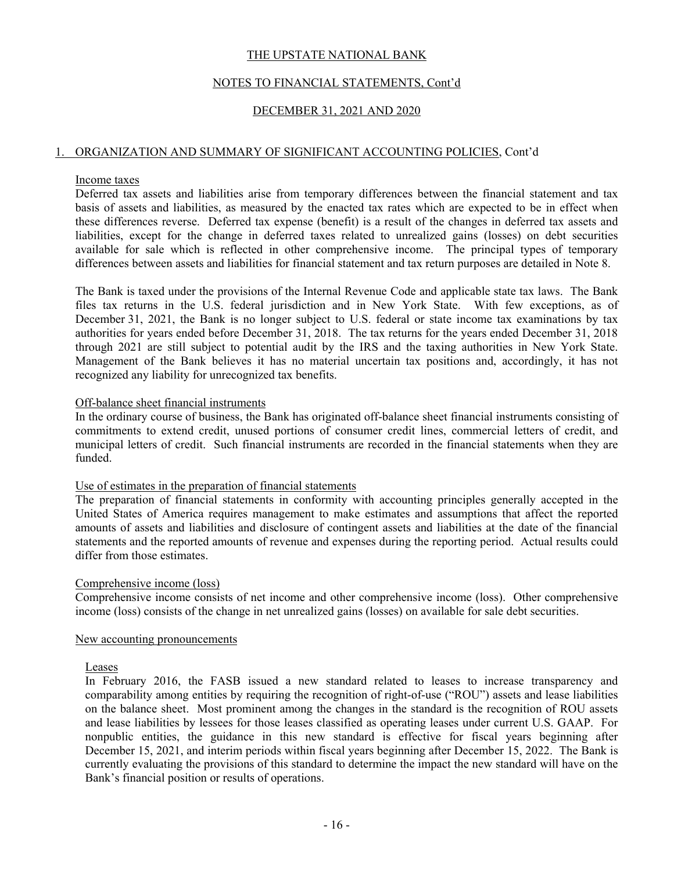# NOTES TO FINANCIAL STATEMENTS, Cont'd

### DECEMBER 31, 2021 AND 2020

### 1. ORGANIZATION AND SUMMARY OF SIGNIFICANT ACCOUNTING POLICIES, Cont'd

### Income taxes

Deferred tax assets and liabilities arise from temporary differences between the financial statement and tax basis of assets and liabilities, as measured by the enacted tax rates which are expected to be in effect when these differences reverse. Deferred tax expense (benefit) is a result of the changes in deferred tax assets and liabilities, except for the change in deferred taxes related to unrealized gains (losses) on debt securities available for sale which is reflected in other comprehensive income. The principal types of temporary differences between assets and liabilities for financial statement and tax return purposes are detailed in Note 8.

The Bank is taxed under the provisions of the Internal Revenue Code and applicable state tax laws. The Bank files tax returns in the U.S. federal jurisdiction and in New York State. With few exceptions, as of December 31, 2021, the Bank is no longer subject to U.S. federal or state income tax examinations by tax authorities for years ended before December 31, 2018. The tax returns for the years ended December 31, 2018 through 2021 are still subject to potential audit by the IRS and the taxing authorities in New York State. Management of the Bank believes it has no material uncertain tax positions and, accordingly, it has not recognized any liability for unrecognized tax benefits.

#### Off-balance sheet financial instruments

In the ordinary course of business, the Bank has originated off-balance sheet financial instruments consisting of commitments to extend credit, unused portions of consumer credit lines, commercial letters of credit, and municipal letters of credit. Such financial instruments are recorded in the financial statements when they are funded.

#### Use of estimates in the preparation of financial statements

The preparation of financial statements in conformity with accounting principles generally accepted in the United States of America requires management to make estimates and assumptions that affect the reported amounts of assets and liabilities and disclosure of contingent assets and liabilities at the date of the financial statements and the reported amounts of revenue and expenses during the reporting period. Actual results could differ from those estimates

#### Comprehensive income (loss)

Comprehensive income consists of net income and other comprehensive income (loss). Other comprehensive income (loss) consists of the change in net unrealized gains (losses) on available for sale debt securities.

#### New accounting pronouncements

#### Leases

In February 2016, the FASB issued a new standard related to leases to increase transparency and comparability among entities by requiring the recognition of right-of-use ("ROU") assets and lease liabilities on the balance sheet. Most prominent among the changes in the standard is the recognition of ROU assets and lease liabilities by lessees for those leases classified as operating leases under current U.S. GAAP. For nonpublic entities, the guidance in this new standard is effective for fiscal years beginning after December 15, 2021, and interim periods within fiscal years beginning after December 15, 2022. The Bank is currently evaluating the provisions of this standard to determine the impact the new standard will have on the Bank's financial position or results of operations.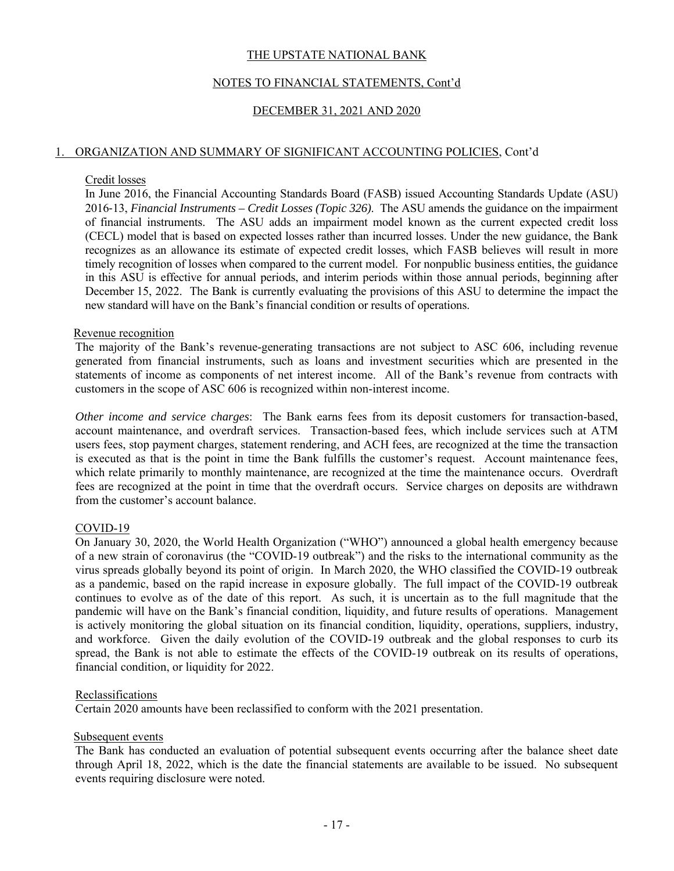# NOTES TO FINANCIAL STATEMENTS, Cont'd

# DECEMBER 31, 2021 AND 2020

# 1. ORGANIZATION AND SUMMARY OF SIGNIFICANT ACCOUNTING POLICIES, Cont'd

### Credit losses

In June 2016, the Financial Accounting Standards Board (FASB) issued Accounting Standards Update (ASU) 2016‐13, *Financial Instruments – Credit Losses (Topic 326)*. The ASU amends the guidance on the impairment of financial instruments. The ASU adds an impairment model known as the current expected credit loss (CECL) model that is based on expected losses rather than incurred losses. Under the new guidance, the Bank recognizes as an allowance its estimate of expected credit losses, which FASB believes will result in more timely recognition of losses when compared to the current model. For nonpublic business entities, the guidance in this ASU is effective for annual periods, and interim periods within those annual periods, beginning after December 15, 2022. The Bank is currently evaluating the provisions of this ASU to determine the impact the new standard will have on the Bank's financial condition or results of operations.

#### Revenue recognition

The majority of the Bank's revenue-generating transactions are not subject to ASC 606, including revenue generated from financial instruments, such as loans and investment securities which are presented in the statements of income as components of net interest income. All of the Bank's revenue from contracts with customers in the scope of ASC 606 is recognized within non-interest income.

*Other income and service charges*: The Bank earns fees from its deposit customers for transaction-based, account maintenance, and overdraft services. Transaction-based fees, which include services such at ATM users fees, stop payment charges, statement rendering, and ACH fees, are recognized at the time the transaction is executed as that is the point in time the Bank fulfills the customer's request. Account maintenance fees, which relate primarily to monthly maintenance, are recognized at the time the maintenance occurs. Overdraft fees are recognized at the point in time that the overdraft occurs. Service charges on deposits are withdrawn from the customer's account balance.

### COVID-19

On January 30, 2020, the World Health Organization ("WHO") announced a global health emergency because of a new strain of coronavirus (the "COVID-19 outbreak") and the risks to the international community as the virus spreads globally beyond its point of origin. In March 2020, the WHO classified the COVID-19 outbreak as a pandemic, based on the rapid increase in exposure globally. The full impact of the COVID-19 outbreak continues to evolve as of the date of this report. As such, it is uncertain as to the full magnitude that the pandemic will have on the Bank's financial condition, liquidity, and future results of operations. Management is actively monitoring the global situation on its financial condition, liquidity, operations, suppliers, industry, and workforce. Given the daily evolution of the COVID-19 outbreak and the global responses to curb its spread, the Bank is not able to estimate the effects of the COVID-19 outbreak on its results of operations, financial condition, or liquidity for 2022.

#### Reclassifications

Certain 2020 amounts have been reclassified to conform with the 2021 presentation.

#### Subsequent events

The Bank has conducted an evaluation of potential subsequent events occurring after the balance sheet date through April 18, 2022, which is the date the financial statements are available to be issued. No subsequent events requiring disclosure were noted.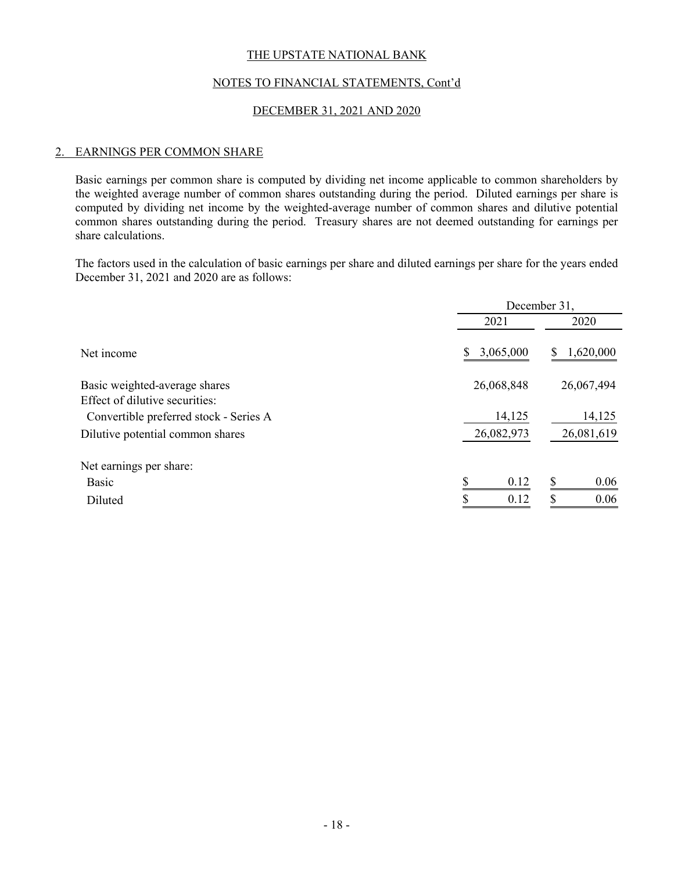# NOTES TO FINANCIAL STATEMENTS, Cont'd

### DECEMBER 31, 2021 AND 2020

### 2. EARNINGS PER COMMON SHARE

Basic earnings per common share is computed by dividing net income applicable to common shareholders by the weighted average number of common shares outstanding during the period. Diluted earnings per share is computed by dividing net income by the weighted-average number of common shares and dilutive potential common shares outstanding during the period. Treasury shares are not deemed outstanding for earnings per share calculations.

The factors used in the calculation of basic earnings per share and diluted earnings per share for the years ended December 31, 2021 and 2020 are as follows:

|                                                                 |                 | December 31,   |  |  |  |
|-----------------------------------------------------------------|-----------------|----------------|--|--|--|
|                                                                 | 2021            | 2020           |  |  |  |
| Net income                                                      | \$<br>3,065,000 | 1,620,000<br>S |  |  |  |
| Basic weighted-average shares<br>Effect of dilutive securities: | 26,068,848      | 26,067,494     |  |  |  |
| Convertible preferred stock - Series A                          | 14,125          | 14,125         |  |  |  |
| Dilutive potential common shares                                | 26,082,973      | 26,081,619     |  |  |  |
| Net earnings per share:                                         |                 |                |  |  |  |
| <b>Basic</b>                                                    | 0.12            | S<br>0.06      |  |  |  |
| Diluted                                                         | 0.12            | 0.06<br>S      |  |  |  |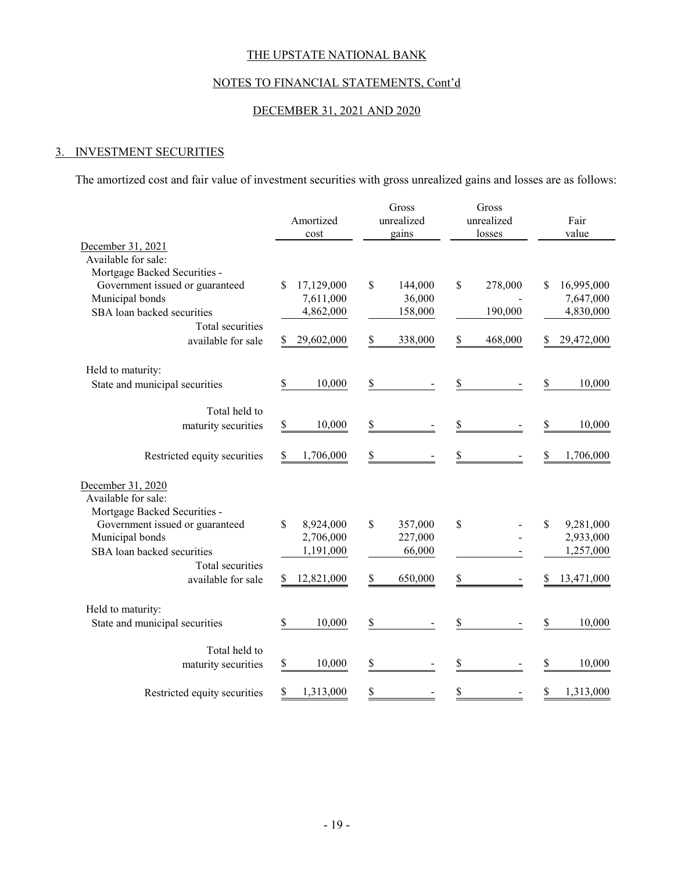# NOTES TO FINANCIAL STATEMENTS, Cont'd

# DECEMBER 31, 2021 AND 2020

# 3. INVESTMENT SECURITIES

The amortized cost and fair value of investment securities with gross unrealized gains and losses are as follows:

|                                                                                  | Amortized<br>cost                          | Gross<br>unrealized<br>gains       |                          | Fair<br>value                              |
|----------------------------------------------------------------------------------|--------------------------------------------|------------------------------------|--------------------------|--------------------------------------------|
| December 31, 2021                                                                |                                            |                                    |                          |                                            |
| Available for sale:<br>Mortgage Backed Securities -                              |                                            |                                    |                          |                                            |
| Government issued or guaranteed<br>Municipal bonds<br>SBA loan backed securities | 17,129,000<br>\$<br>7,611,000<br>4,862,000 | \$<br>144,000<br>36,000<br>158,000 | \$<br>278,000<br>190,000 | 16,995,000<br>\$<br>7,647,000<br>4,830,000 |
| Total securities                                                                 |                                            |                                    |                          |                                            |
| available for sale                                                               | 29,602,000<br>\$                           | \$<br>338,000                      | \$<br>468,000            | 29,472,000<br>S                            |
| Held to maturity:                                                                |                                            |                                    |                          |                                            |
| State and municipal securities                                                   | \$<br>10,000                               | \$                                 | \$                       | \$<br>10,000                               |
| Total held to                                                                    |                                            |                                    |                          |                                            |
| maturity securities                                                              | \$<br>10,000                               | $\frac{1}{2}$                      | \$                       | \$<br>10,000                               |
| Restricted equity securities                                                     | \$<br>1,706,000                            | \$                                 |                          | 1,706,000<br>\$                            |
| December 31, 2020                                                                |                                            |                                    |                          |                                            |
| Available for sale:                                                              |                                            |                                    |                          |                                            |
| Mortgage Backed Securities -<br>Government issued or guaranteed                  | \$<br>8,924,000                            | \$<br>357,000                      | \$                       | \$<br>9,281,000                            |
| Municipal bonds                                                                  | 2,706,000                                  | 227,000                            |                          | 2,933,000                                  |
| SBA loan backed securities                                                       | 1,191,000                                  | 66,000                             |                          | 1,257,000                                  |
| Total securities<br>available for sale                                           | 12,821,000<br>\$                           | \$<br>650,000                      | \$                       | 13,471,000<br>\$                           |
|                                                                                  |                                            |                                    |                          |                                            |
| Held to maturity:<br>State and municipal securities                              | \$<br>10,000                               | \$                                 | \$                       | \$<br>10,000                               |
|                                                                                  |                                            |                                    |                          |                                            |
| Total held to<br>maturity securities                                             | \$<br>10,000                               | \$                                 |                          | 10,000                                     |
|                                                                                  |                                            |                                    |                          |                                            |
| Restricted equity securities                                                     | \$<br>1,313,000                            | \$                                 | \$                       | 1,313,000<br>\$                            |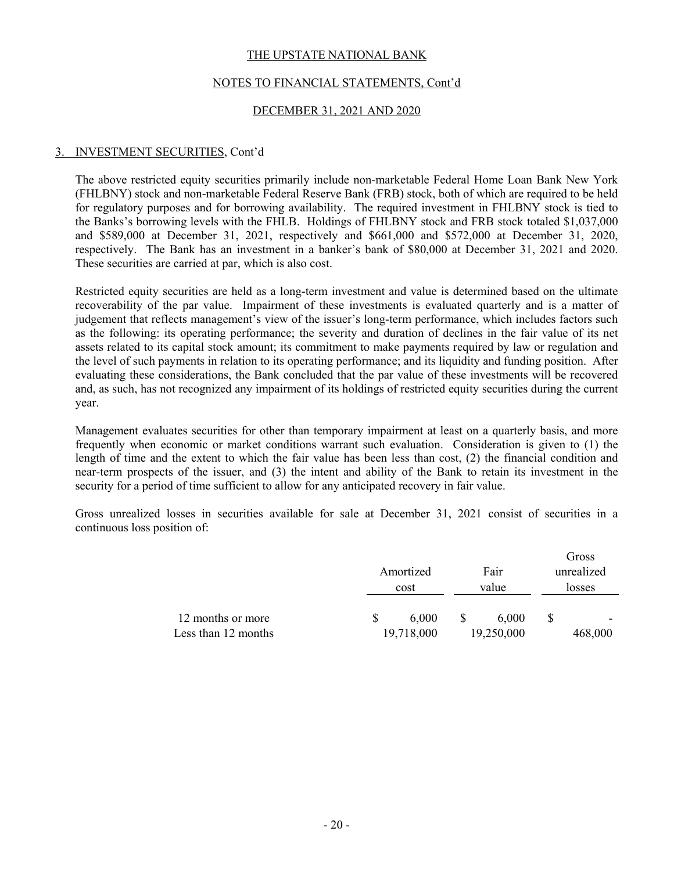# NOTES TO FINANCIAL STATEMENTS, Cont'd

### DECEMBER 31, 2021 AND 2020

### 3. INVESTMENT SECURITIES, Cont'd

The above restricted equity securities primarily include non-marketable Federal Home Loan Bank New York (FHLBNY) stock and non-marketable Federal Reserve Bank (FRB) stock, both of which are required to be held for regulatory purposes and for borrowing availability. The required investment in FHLBNY stock is tied to the Banks's borrowing levels with the FHLB. Holdings of FHLBNY stock and FRB stock totaled \$1,037,000 and \$589,000 at December 31, 2021, respectively and \$661,000 and \$572,000 at December 31, 2020, respectively. The Bank has an investment in a banker's bank of \$80,000 at December 31, 2021 and 2020. These securities are carried at par, which is also cost.

Restricted equity securities are held as a long-term investment and value is determined based on the ultimate recoverability of the par value. Impairment of these investments is evaluated quarterly and is a matter of judgement that reflects management's view of the issuer's long-term performance, which includes factors such as the following: its operating performance; the severity and duration of declines in the fair value of its net assets related to its capital stock amount; its commitment to make payments required by law or regulation and the level of such payments in relation to its operating performance; and its liquidity and funding position. After evaluating these considerations, the Bank concluded that the par value of these investments will be recovered and, as such, has not recognized any impairment of its holdings of restricted equity securities during the current year.

Management evaluates securities for other than temporary impairment at least on a quarterly basis, and more frequently when economic or market conditions warrant such evaluation. Consideration is given to (1) the length of time and the extent to which the fair value has been less than cost, (2) the financial condition and near-term prospects of the issuer, and (3) the intent and ability of the Bank to retain its investment in the security for a period of time sufficient to allow for any anticipated recovery in fair value.

Gross unrealized losses in securities available for sale at December 31, 2021 consist of securities in a continuous loss position of:

|                     |            |  |            |  | Gross      |
|---------------------|------------|--|------------|--|------------|
|                     | Amortized  |  | Fair       |  | unrealized |
|                     | cost       |  | value      |  | losses     |
|                     |            |  |            |  |            |
| 12 months or more   | 6,000      |  | 6.000      |  |            |
| Less than 12 months | 19,718,000 |  | 19,250,000 |  | 468,000    |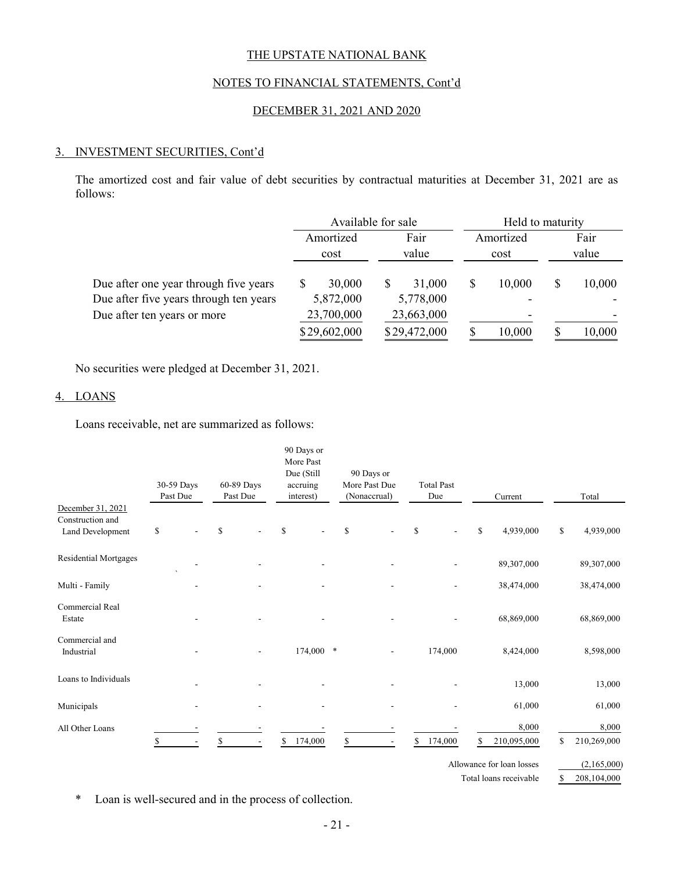### NOTES TO FINANCIAL STATEMENTS, Cont'd

### DECEMBER 31, 2021 AND 2020

### 3. INVESTMENT SECURITIES, Cont'd

The amortized cost and fair value of debt securities by contractual maturities at December 31, 2021 are as follows:

|                                                                       | Available for sale      |                   |            |                     | Held to maturity  |        |               |        |
|-----------------------------------------------------------------------|-------------------------|-------------------|------------|---------------------|-------------------|--------|---------------|--------|
|                                                                       |                         | Amortized<br>cost |            | Fair<br>value       | Amortized<br>cost |        | Fair<br>value |        |
| Due after one year through five years                                 | S                       | 30,000            |            | 31,000<br>5,778,000 | S                 | 10,000 | S             | 10,000 |
| Due after five years through ten years<br>Due after ten years or more | 5,872,000<br>23,700,000 |                   | 23,663,000 |                     |                   |        |               |        |
|                                                                       |                         | \$29,602,000      |            | \$29,472,000        |                   | 10,000 |               | 10,000 |

No securities were pledged at December 31, 2021.

# 4. LOANS

Loans receivable, net are summarized as follows:

|                                                           | 30-59 Days<br>Past Due |    | 60-89 Days<br>Past Due | 90 Days or<br>More Past<br>Due (Still<br>accruing<br>interest) | 90 Days or<br>More Past Due<br>(Nonaccrual) | <b>Total Past</b><br>Due |         |    | Current              | Total                      |
|-----------------------------------------------------------|------------------------|----|------------------------|----------------------------------------------------------------|---------------------------------------------|--------------------------|---------|----|----------------------|----------------------------|
| December 31, 2021<br>Construction and<br>Land Development | $\mathbb{S}$           | \$ |                        | \$                                                             | \$                                          | $\mathbf S$              |         | \$ | 4,939,000            | \$<br>4,939,000            |
| Residential Mortgages                                     |                        |    |                        |                                                                |                                             |                          |         |    | 89,307,000           | 89,307,000                 |
| Multi - Family                                            |                        |    |                        |                                                                |                                             |                          |         |    | 38,474,000           | 38,474,000                 |
| Commercial Real<br>Estate                                 |                        |    |                        |                                                                |                                             |                          |         |    | 68,869,000           | 68,869,000                 |
| Commercial and<br>Industrial                              |                        |    |                        | 174,000 *                                                      |                                             |                          | 174,000 |    | 8,424,000            | 8,598,000                  |
| Loans to Individuals                                      |                        |    |                        |                                                                |                                             |                          |         |    | 13,000               | 13,000                     |
| Municipals                                                |                        |    |                        |                                                                |                                             |                          |         |    | 61,000               | 61,000                     |
| All Other Loans                                           | \$                     | \$ |                        | \$<br>174,000                                                  | \$                                          | \$                       | 174,000 | S  | 8,000<br>210,095,000 | \$<br>8,000<br>210,269,000 |
|                                                           |                        |    |                        |                                                                |                                             |                          |         |    |                      |                            |

Allowance for loan losses (2,165,000) Total loans receivable  $$208,104,000$ 

\* Loan is well-secured and in the process of collection.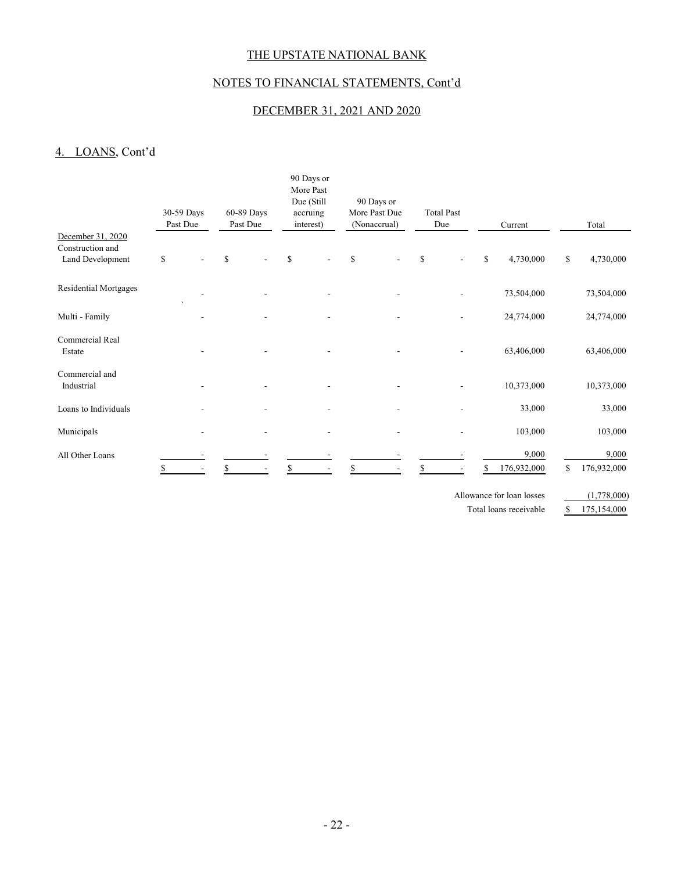### NOTES TO FINANCIAL STATEMENTS, Cont'd

# DECEMBER 31, 2021 AND 2020

# 4. LOANS, Cont'd

|                                                           | 30-59 Days<br>Past Due |    | 60-89 Days<br>Past Due | 90 Days or<br>More Past<br>Due (Still<br>accruing<br>interest) | 90 Days or<br>More Past Due<br>(Nonaccrual) | <b>Total Past</b><br>Due |              | Current              | Total                      |
|-----------------------------------------------------------|------------------------|----|------------------------|----------------------------------------------------------------|---------------------------------------------|--------------------------|--------------|----------------------|----------------------------|
| December 31, 2020<br>Construction and<br>Land Development | \$                     | \$ |                        | \$                                                             | \$                                          | \$                       | $\mathbb{S}$ | 4,730,000            | \$<br>4,730,000            |
| Residential Mortgages                                     |                        |    |                        |                                                                |                                             |                          |              | 73,504,000           | 73,504,000                 |
| Multi - Family                                            |                        |    |                        |                                                                |                                             |                          |              | 24,774,000           | 24,774,000                 |
| Commercial Real<br>Estate                                 |                        |    |                        |                                                                |                                             |                          |              | 63,406,000           | 63,406,000                 |
| Commercial and<br>Industrial                              |                        |    |                        |                                                                |                                             |                          |              | 10,373,000           | 10,373,000                 |
| Loans to Individuals                                      |                        |    |                        |                                                                |                                             |                          |              | 33,000               | 33,000                     |
| Municipals                                                |                        |    |                        |                                                                |                                             |                          |              | 103,000              | 103,000                    |
| All Other Loans                                           | \$                     | \$ |                        | \$                                                             | \$                                          | \$                       | \$           | 9,000<br>176,932,000 | \$<br>9,000<br>176,932,000 |

Allowance for loan losses (1,778,000)

Total loans receivable  $$175,154,000$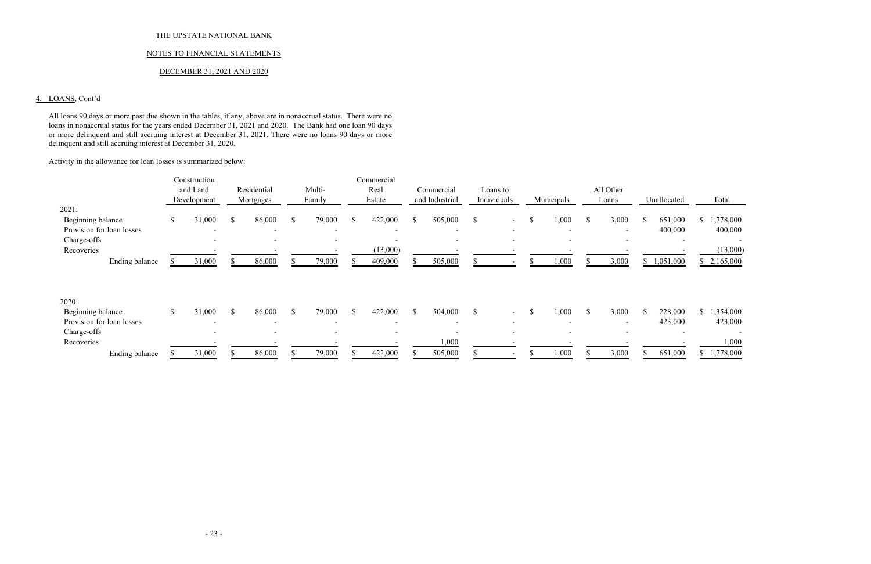#### NOTES TO FINANCIAL STATEMENTS

# DECEMBER 31, 2021 AND 2020

# 4. LOANS, Cont'd

All loans 90 days or more past due shown in the tables, if any, above are in nonaccrual status. There were no loans in nonaccrual status for the years ended December 31, 2021 and 2020. The Bank had one loan 90 days or more delinquent and still accruing interest at December 31, 2021. There were no loans 90 days or more delinquent and still accruing interest at December 31, 2020.

Activity in the allowance for loan losses is summarized below:

| Unallocated              | Total                       |
|--------------------------|-----------------------------|
| \$<br>651,000<br>400,000 | \$<br>1,778,000<br>400,000  |
| \$<br>1,051,000          | \$<br>(13,000)<br>2,165,000 |
| \$<br>228,000<br>423,000 | \$<br>1,354,000<br>423,000  |
| \$<br>651,000            | \$<br>1,000<br>1,778,000    |

|                           | Construction |              |             |               |        |      | Commercial               |               |                          |               |                          |           |            |  |                          |  |             |                 |  |
|---------------------------|--------------|--------------|-------------|---------------|--------|------|--------------------------|---------------|--------------------------|---------------|--------------------------|-----------|------------|--|--------------------------|--|-------------|-----------------|--|
|                           | and Land     |              | Residential |               | Multi- | Real |                          |               | Commercial<br>Loans to   |               |                          | All Other |            |  |                          |  |             |                 |  |
|                           | Development  |              | Mortgages   |               | Family |      | Estate                   |               | and Industrial           |               | Individuals              |           | Municipals |  | Loans                    |  | Unallocated | Total           |  |
| 2021:                     |              |              |             |               |        |      |                          |               |                          |               |                          |           |            |  |                          |  |             |                 |  |
| Beginning balance         | \$<br>31,000 | $\mathbb{S}$ | 86,000      | <sup>\$</sup> | 79,000 |      | 422,000                  | <sup>S</sup>  | 505,000                  | $\mathcal{S}$ | $\overline{\phantom{0}}$ | P         | 1,000      |  | 3,000                    |  | 651,000     | 1,778,000<br>\$ |  |
| Provision for loan losses |              |              | <b>-</b>    |               |        |      | $\overline{\phantom{0}}$ |               | $\overline{\phantom{a}}$ |               |                          |           |            |  | $\overline{\phantom{a}}$ |  | 400,000     | 400,000         |  |
| Charge-offs               |              |              |             |               |        |      |                          |               | $\overline{\phantom{0}}$ |               |                          |           |            |  |                          |  |             |                 |  |
| Recoveries                |              |              |             |               |        |      | (13,000)                 |               |                          |               |                          |           |            |  |                          |  |             | (13,000)        |  |
| Ending balance            | 31,000       |              | 86,000      |               | 79,000 |      | 409,000                  |               | 505,000                  |               |                          |           | 1,000      |  | 3,000                    |  | \$1,051,000 | \$2,165,000     |  |
| 2020:                     |              |              |             |               |        |      |                          |               |                          |               |                          |           |            |  |                          |  |             |                 |  |
| Beginning balance         | 31,000       | $\mathbb{S}$ | 86,000      | <sup>S</sup>  | 79,000 |      | 422,000                  | <sup>\$</sup> | 504,000                  | $\mathbb{S}$  | $\sim$                   |           | 1,000      |  | 3,000                    |  | 228,000     | \$1,354,000     |  |
| Provision for loan losses |              |              |             |               |        |      |                          |               | $\overline{\phantom{0}}$ |               |                          |           |            |  | $\overline{\phantom{a}}$ |  | 423,000     | 423,000         |  |
| Charge-offs               |              |              |             |               |        |      |                          |               |                          |               |                          |           |            |  |                          |  |             |                 |  |
| Recoveries                |              |              |             |               |        |      |                          |               | 1,000                    |               |                          |           |            |  |                          |  |             | 1,000           |  |
| Ending balance            | 31,000       |              | 86,000      |               | 79,000 |      | 422,000                  |               | 505,000                  |               |                          |           | 1,000      |  | 3,000                    |  | 651,000     | 1,778,000       |  |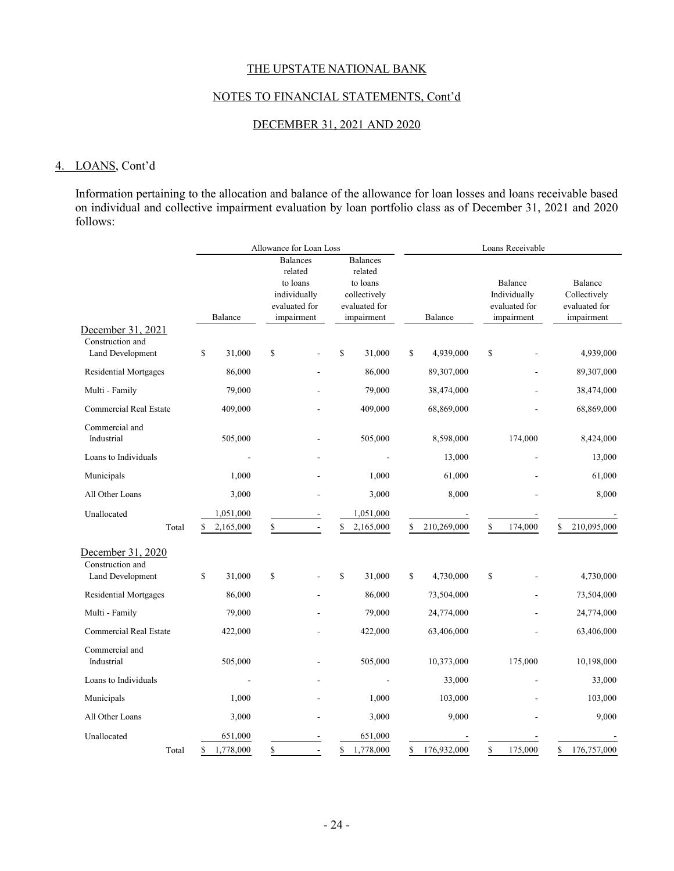#### NOTES TO FINANCIAL STATEMENTS, Cont'd

#### DECEMBER 31, 2021 AND 2020

#### 4. LOANS, Cont'd

Information pertaining to the allocation and balance of the allowance for loan losses and loans receivable based on individual and collective impairment evaluation by loan portfolio class as of December 31, 2021 and 2020 follows:

|                                                           |                            | Allowance for Loan Loss                                                               |                                                                                       | Loans Receivable  |                                                        |                                                        |  |  |  |  |
|-----------------------------------------------------------|----------------------------|---------------------------------------------------------------------------------------|---------------------------------------------------------------------------------------|-------------------|--------------------------------------------------------|--------------------------------------------------------|--|--|--|--|
|                                                           | Balance                    | <b>Balances</b><br>related<br>to loans<br>individually<br>evaluated for<br>impairment | <b>Balances</b><br>related<br>to loans<br>collectively<br>evaluated for<br>impairment | Balance           | Balance<br>Individually<br>evaluated for<br>impairment | Balance<br>Collectively<br>evaluated for<br>impairment |  |  |  |  |
| December 31, 2021<br>Construction and                     |                            |                                                                                       |                                                                                       |                   |                                                        |                                                        |  |  |  |  |
| Land Development                                          | \$<br>31,000               | \$                                                                                    | \$<br>31,000                                                                          | \$<br>4,939,000   | \$                                                     | 4,939,000                                              |  |  |  |  |
| Residential Mortgages                                     | 86,000                     |                                                                                       | 86,000                                                                                | 89,307,000        |                                                        | 89,307,000                                             |  |  |  |  |
| Multi - Family                                            | 79,000                     |                                                                                       | 79,000                                                                                | 38,474,000        |                                                        | 38,474,000                                             |  |  |  |  |
| Commercial Real Estate                                    | 409,000                    |                                                                                       | 409,000                                                                               | 68,869,000        |                                                        | 68,869,000                                             |  |  |  |  |
| Commercial and<br>Industrial                              | 505,000                    |                                                                                       | 505,000                                                                               | 8,598,000         | 174,000                                                | 8,424,000                                              |  |  |  |  |
| Loans to Individuals                                      |                            |                                                                                       |                                                                                       | 13,000            |                                                        | 13,000                                                 |  |  |  |  |
| Municipals                                                | 1,000                      |                                                                                       | 1,000                                                                                 | 61,000            |                                                        | 61,000                                                 |  |  |  |  |
| All Other Loans                                           | 3,000                      |                                                                                       | 3,000                                                                                 | 8,000             |                                                        | 8,000                                                  |  |  |  |  |
| Unallocated                                               | 1,051,000                  |                                                                                       | 1,051,000                                                                             |                   |                                                        |                                                        |  |  |  |  |
| Total                                                     | \$<br>2,165,000            | \$                                                                                    | 2,165,000<br>S                                                                        | 210,269,000       | \$<br>174,000                                          | \$<br>210,095,000                                      |  |  |  |  |
| December 31, 2020<br>Construction and<br>Land Development | \$<br>31,000               | \$                                                                                    | $\mathbf S$<br>31,000                                                                 | \$                | \$                                                     | 4,730,000                                              |  |  |  |  |
|                                                           |                            |                                                                                       |                                                                                       | 4,730,000         |                                                        |                                                        |  |  |  |  |
| Residential Mortgages                                     | 86,000                     |                                                                                       | 86,000                                                                                | 73,504,000        |                                                        | 73,504,000                                             |  |  |  |  |
| Multi - Family                                            | 79,000                     |                                                                                       | 79,000                                                                                | 24,774,000        |                                                        | 24,774,000                                             |  |  |  |  |
| Commercial Real Estate                                    | 422,000                    |                                                                                       | 422,000                                                                               | 63,406,000        |                                                        | 63,406,000                                             |  |  |  |  |
| Commercial and<br>Industrial                              | 505,000                    |                                                                                       | 505,000                                                                               | 10,373,000        | 175,000                                                | 10,198,000                                             |  |  |  |  |
| Loans to Individuals                                      |                            |                                                                                       |                                                                                       | 33,000            |                                                        | 33,000                                                 |  |  |  |  |
| Municipals                                                | 1,000                      |                                                                                       | 1,000                                                                                 | 103,000           |                                                        | 103,000                                                |  |  |  |  |
| All Other Loans                                           | 3,000                      |                                                                                       | 3,000                                                                                 | 9,000             |                                                        | 9,000                                                  |  |  |  |  |
| Unallocated<br>Total                                      | 651,000<br>\$<br>1,778,000 | \$                                                                                    | 651,000<br>1,778,000<br>\$                                                            | 176,932,000<br>\$ | 175,000<br>\$                                          | \$<br>176,757,000                                      |  |  |  |  |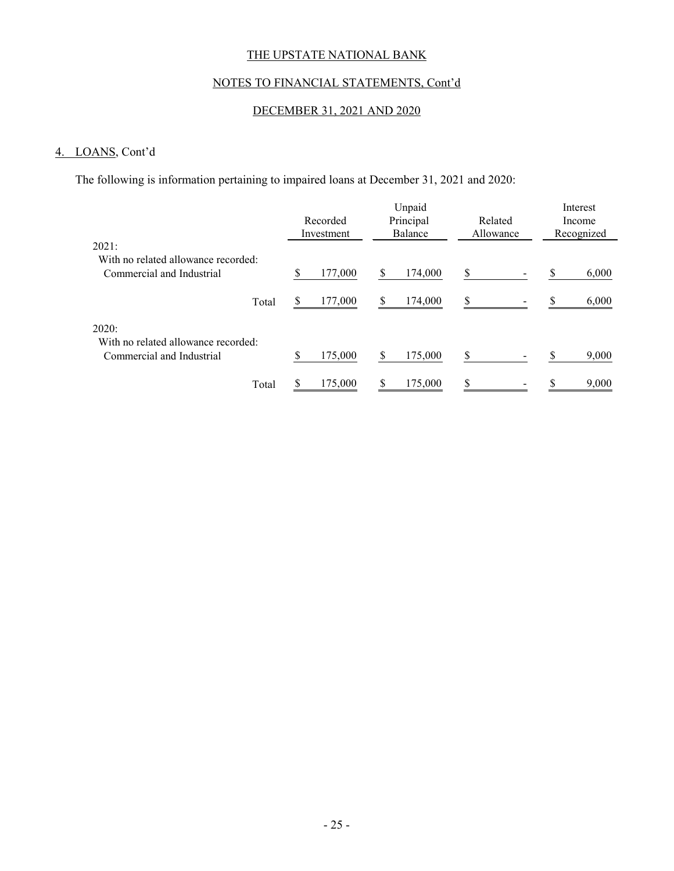# NOTES TO FINANCIAL STATEMENTS, Cont'd

# DECEMBER 31, 2021 AND 2020

# 4. LOANS, Cont'd

The following is information pertaining to impaired loans at December 31, 2021 and 2020:

| 2021:                                                                     | Recorded<br>Investment |         |   | Unpaid<br>Principal<br>Balance |    | Related<br>Allowance | Interest<br>Income<br>Recognized |       |  |
|---------------------------------------------------------------------------|------------------------|---------|---|--------------------------------|----|----------------------|----------------------------------|-------|--|
| With no related allowance recorded:<br>Commercial and Industrial          |                        | 177,000 | S | 174,000                        | \$ |                      |                                  | 6,000 |  |
| Total                                                                     |                        | 177,000 |   | 174,000                        | \$ |                      |                                  | 6,000 |  |
| 2020:<br>With no related allowance recorded:<br>Commercial and Industrial |                        | 175,000 | S | 175,000                        | S  |                      |                                  | 9,000 |  |
| Total                                                                     |                        | 175,000 |   | 175,000                        |    |                      |                                  | 9,000 |  |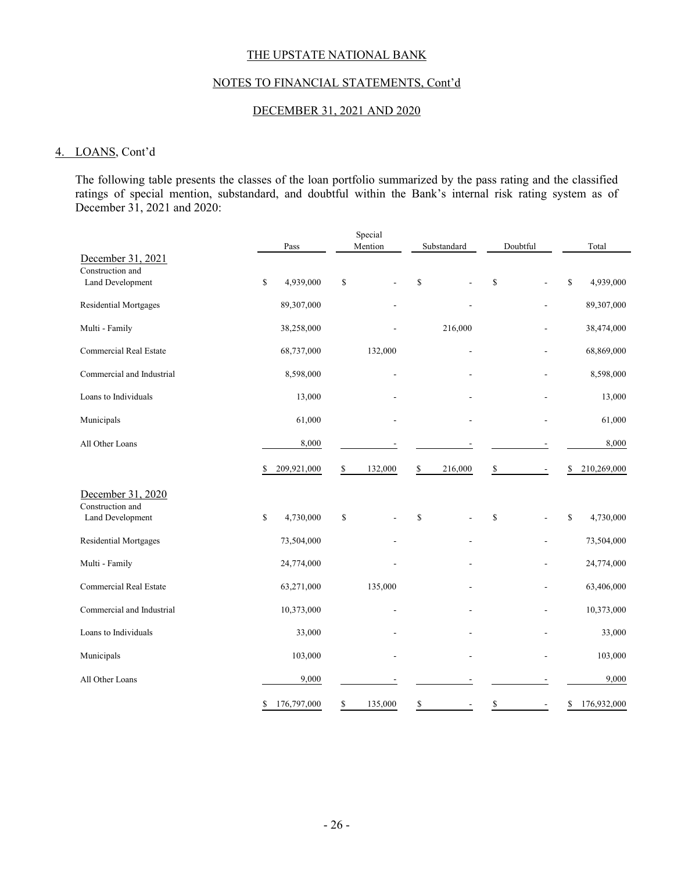#### NOTES TO FINANCIAL STATEMENTS, Cont'd

#### DECEMBER 31, 2021 AND 2020

# 4. LOANS, Cont'd

The following table presents the classes of the loan portfolio summarized by the pass rating and the classified ratings of special mention, substandard, and doubtful within the Bank's internal risk rating system as of December 31, 2021 and 2020:

|                                                           | Pass              | Special<br>Mention | Substandard                    |                                             | Doubtful |             | Total       |
|-----------------------------------------------------------|-------------------|--------------------|--------------------------------|---------------------------------------------|----------|-------------|-------------|
| December 31, 2021<br>Construction and<br>Land Development | \$<br>4,939,000   | \$                 | \$                             | \$                                          |          | \$          | 4,939,000   |
| Residential Mortgages                                     | 89,307,000        |                    |                                |                                             |          |             | 89,307,000  |
| Multi - Family                                            | 38,258,000        |                    | 216,000                        |                                             |          |             | 38,474,000  |
| Commercial Real Estate                                    | 68,737,000        | 132,000            |                                |                                             |          |             | 68,869,000  |
| Commercial and Industrial                                 | 8,598,000         |                    |                                |                                             |          |             | 8,598,000   |
| Loans to Individuals                                      | 13,000            |                    |                                |                                             |          |             | 13,000      |
| Municipals                                                | 61,000            |                    |                                |                                             |          |             | 61,000      |
| All Other Loans                                           | 8,000             |                    |                                |                                             |          |             | 8,000       |
|                                                           | \$<br>209,921,000 | \$<br>132,000      | \$<br>216,000                  | $\mathbb{S}% _{n}^{X\rightarrow\mathbb{R}}$ |          | \$          | 210,269,000 |
| December 31, 2020<br>Construction and<br>Land Development | \$<br>4,730,000   | \$                 | \$                             | <sup>\$</sup>                               |          | $\mathbf S$ | 4,730,000   |
| <b>Residential Mortgages</b>                              | 73,504,000        |                    |                                |                                             |          |             | 73,504,000  |
| Multi - Family                                            | 24,774,000        |                    |                                |                                             |          |             | 24,774,000  |
| Commercial Real Estate                                    | 63,271,000        | 135,000            |                                |                                             |          |             | 63,406,000  |
| Commercial and Industrial                                 | 10,373,000        |                    |                                |                                             |          |             | 10,373,000  |
| Loans to Individuals                                      | 33,000            |                    |                                |                                             |          |             | 33,000      |
| Municipals                                                | 103,000           |                    |                                |                                             |          |             | 103,000     |
| All Other Loans                                           | 9,000             |                    |                                |                                             |          |             | 9,000       |
|                                                           | \$<br>176,797,000 | \$<br>135,000      | \$<br>$\overline{\phantom{a}}$ | \$                                          |          | \$          | 176,932,000 |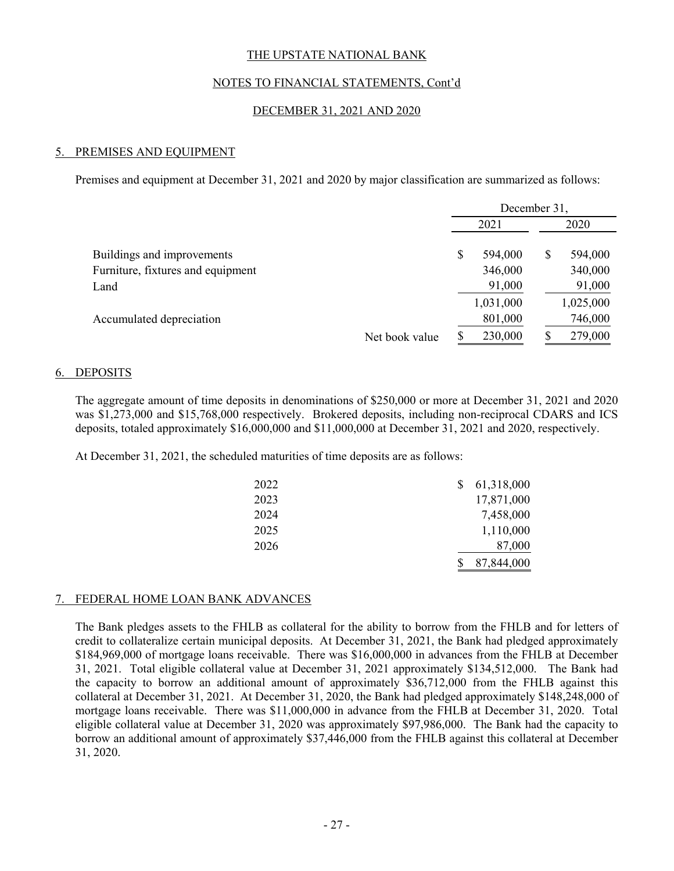# NOTES TO FINANCIAL STATEMENTS, Cont'd

### DECEMBER 31, 2021 AND 2020

#### 5. PREMISES AND EQUIPMENT

Premises and equipment at December 31, 2021 and 2020 by major classification are summarized as follows:

|                                   |                | December 31, |   |           |  |  |  |
|-----------------------------------|----------------|--------------|---|-----------|--|--|--|
|                                   |                | 2021         |   | 2020      |  |  |  |
| Buildings and improvements        | \$             | 594,000      | S | 594,000   |  |  |  |
| Furniture, fixtures and equipment |                | 346,000      |   | 340,000   |  |  |  |
| Land                              |                | 91,000       |   | 91,000    |  |  |  |
|                                   |                | 1,031,000    |   | 1,025,000 |  |  |  |
| Accumulated depreciation          |                | 801,000      |   | 746,000   |  |  |  |
|                                   | Net book value | 230,000      |   | 279,000   |  |  |  |

### 6. DEPOSITS

The aggregate amount of time deposits in denominations of \$250,000 or more at December 31, 2021 and 2020 was \$1,273,000 and \$15,768,000 respectively. Brokered deposits, including non-reciprocal CDARS and ICS deposits, totaled approximately \$16,000,000 and \$11,000,000 at December 31, 2021 and 2020, respectively.

At December 31, 2021, the scheduled maturities of time deposits are as follows:

| 2022 | 61,318,000 |
|------|------------|
| 2023 | 17,871,000 |
| 2024 | 7,458,000  |
| 2025 | 1,110,000  |
| 2026 | 87,000     |
|      | 87,844,000 |

# 7. FEDERAL HOME LOAN BANK ADVANCES

The Bank pledges assets to the FHLB as collateral for the ability to borrow from the FHLB and for letters of credit to collateralize certain municipal deposits. At December 31, 2021, the Bank had pledged approximately \$184,969,000 of mortgage loans receivable. There was \$16,000,000 in advances from the FHLB at December 31, 2021. Total eligible collateral value at December 31, 2021 approximately \$134,512,000. The Bank had the capacity to borrow an additional amount of approximately \$36,712,000 from the FHLB against this collateral at December 31, 2021. At December 31, 2020, the Bank had pledged approximately \$148,248,000 of mortgage loans receivable. There was \$11,000,000 in advance from the FHLB at December 31, 2020. Total eligible collateral value at December 31, 2020 was approximately \$97,986,000. The Bank had the capacity to borrow an additional amount of approximately \$37,446,000 from the FHLB against this collateral at December 31, 2020.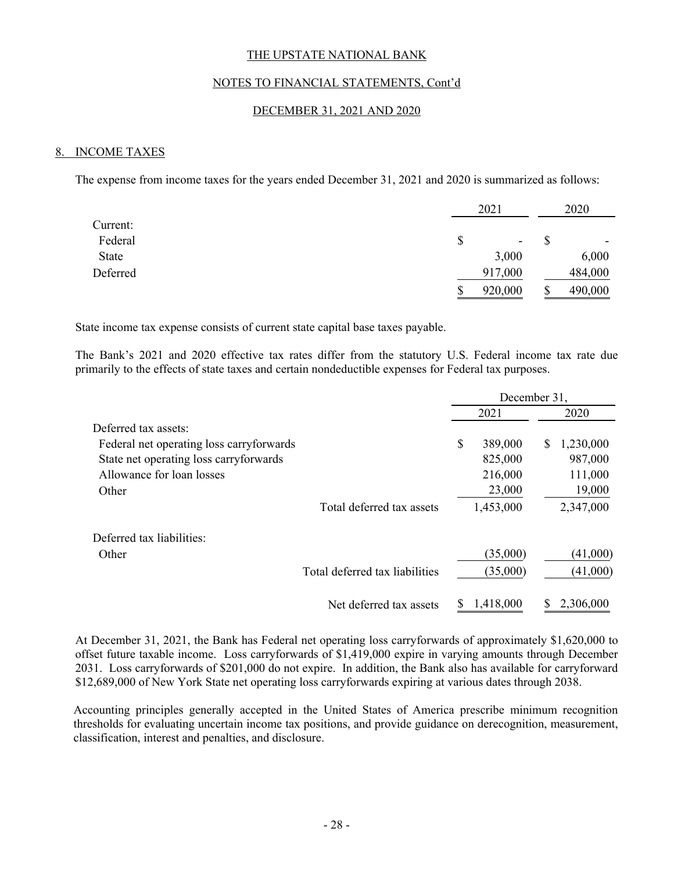# NOTES TO FINANCIAL STATEMENTS, Cont'd

### DECEMBER 31, 2021 AND 2020

### 8. INCOME TAXES

The expense from income taxes for the years ended December 31, 2021 and 2020 is summarized as follows:

|          | 2021         | 2020                                                      |
|----------|--------------|-----------------------------------------------------------|
| Current: |              |                                                           |
| Federal  | \$           | S<br>$\overline{\phantom{a}}$<br>$\overline{\phantom{a}}$ |
| State    | 3,000        | 6,000                                                     |
| Deferred | 917,000      | 484,000                                                   |
|          | 920,000<br>¢ | 490,000<br>\$                                             |

State income tax expense consists of current state capital base taxes payable.

The Bank's 2021 and 2020 effective tax rates differ from the statutory U.S. Federal income tax rate due primarily to the effects of state taxes and certain nondeductible expenses for Federal tax purposes.

|                                          |                                |    | December 31. |    |           |  |
|------------------------------------------|--------------------------------|----|--------------|----|-----------|--|
|                                          |                                |    | 2021         |    | 2020      |  |
| Deferred tax assets:                     |                                |    |              |    |           |  |
| Federal net operating loss carryforwards |                                | \$ | 389,000      | S. | 1,230,000 |  |
| State net operating loss carryforwards   |                                |    | 825,000      |    | 987,000   |  |
| Allowance for loan losses                |                                |    | 216,000      |    | 111,000   |  |
| Other                                    |                                |    | 23,000       |    | 19,000    |  |
|                                          | Total deferred tax assets      |    | 1,453,000    |    | 2,347,000 |  |
| Deferred tax liabilities:                |                                |    |              |    |           |  |
| Other                                    |                                |    | (35,000)     |    | (41,000)  |  |
|                                          | Total deferred tax liabilities |    | (35,000)     |    | (41,000)  |  |
|                                          | Net deferred tax assets        | S. | 1,418,000    |    | 2,306,000 |  |

At December 31, 2021, the Bank has Federal net operating loss carryforwards of approximately \$1,620,000 to offset future taxable income. Loss carryforwards of \$1,419,000 expire in varying amounts through December 2031. Loss carryforwards of \$201,000 do not expire. In addition, the Bank also has available for carryforward \$12,689,000 of New York State net operating loss carryforwards expiring at various dates through 2038.

Accounting principles generally accepted in the United States of America prescribe minimum recognition thresholds for evaluating uncertain income tax positions, and provide guidance on derecognition, measurement, classification, interest and penalties, and disclosure.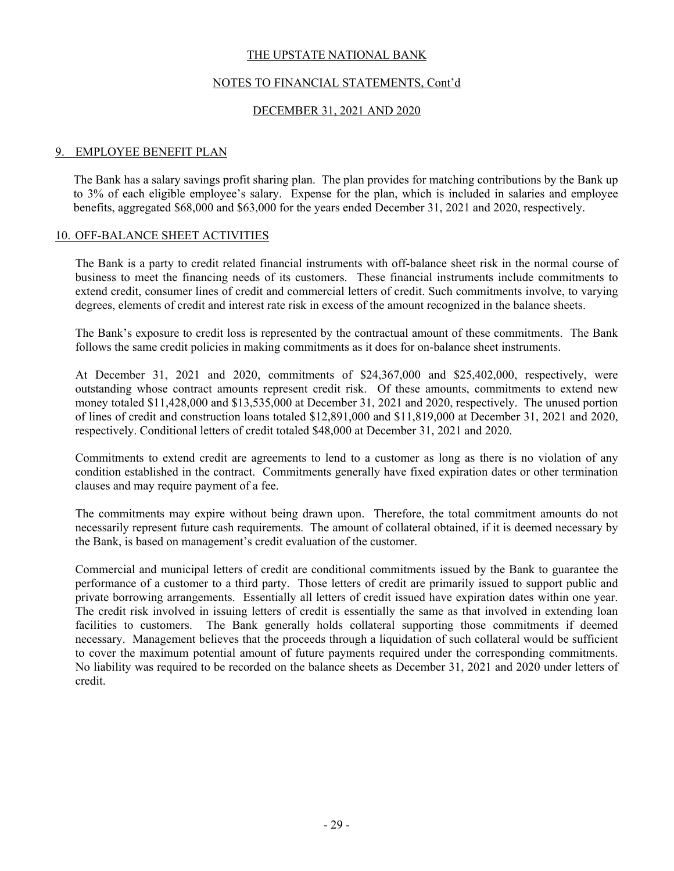# NOTES TO FINANCIAL STATEMENTS, Cont'd

### DECEMBER 31, 2021 AND 2020

### 9. EMPLOYEE BENEFIT PLAN

The Bank has a salary savings profit sharing plan. The plan provides for matching contributions by the Bank up to 3% of each eligible employee's salary. Expense for the plan, which is included in salaries and employee benefits, aggregated \$68,000 and \$63,000 for the years ended December 31, 2021 and 2020, respectively.

### 10. OFF-BALANCE SHEET ACTIVITIES

The Bank is a party to credit related financial instruments with off-balance sheet risk in the normal course of business to meet the financing needs of its customers. These financial instruments include commitments to extend credit, consumer lines of credit and commercial letters of credit. Such commitments involve, to varying degrees, elements of credit and interest rate risk in excess of the amount recognized in the balance sheets.

The Bank's exposure to credit loss is represented by the contractual amount of these commitments. The Bank follows the same credit policies in making commitments as it does for on-balance sheet instruments.

At December 31, 2021 and 2020, commitments of \$24,367,000 and \$25,402,000, respectively, were outstanding whose contract amounts represent credit risk. Of these amounts, commitments to extend new money totaled \$11,428,000 and \$13,535,000 at December 31, 2021 and 2020, respectively. The unused portion of lines of credit and construction loans totaled \$12,891,000 and \$11,819,000 at December 31, 2021 and 2020, respectively. Conditional letters of credit totaled \$48,000 at December 31, 2021 and 2020.

Commitments to extend credit are agreements to lend to a customer as long as there is no violation of any condition established in the contract. Commitments generally have fixed expiration dates or other termination clauses and may require payment of a fee.

The commitments may expire without being drawn upon. Therefore, the total commitment amounts do not necessarily represent future cash requirements. The amount of collateral obtained, if it is deemed necessary by the Bank, is based on management's credit evaluation of the customer.

Commercial and municipal letters of credit are conditional commitments issued by the Bank to guarantee the performance of a customer to a third party. Those letters of credit are primarily issued to support public and private borrowing arrangements. Essentially all letters of credit issued have expiration dates within one year. The credit risk involved in issuing letters of credit is essentially the same as that involved in extending loan facilities to customers. The Bank generally holds collateral supporting those commitments if deemed necessary. Management believes that the proceeds through a liquidation of such collateral would be sufficient to cover the maximum potential amount of future payments required under the corresponding commitments. No liability was required to be recorded on the balance sheets as December 31, 2021 and 2020 under letters of credit.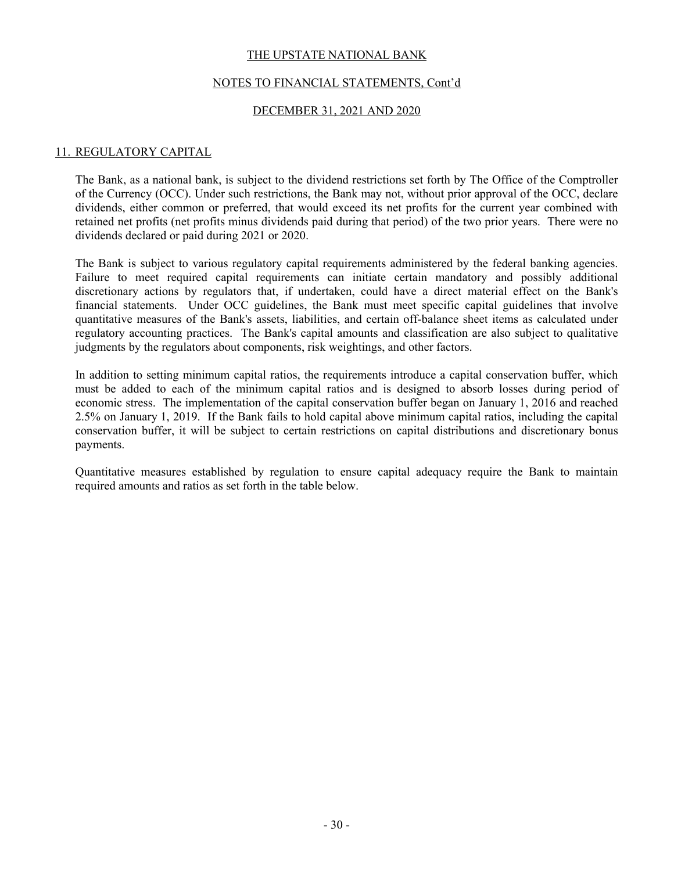### NOTES TO FINANCIAL STATEMENTS, Cont'd

### DECEMBER 31, 2021 AND 2020

# 11. REGULATORY CAPITAL

The Bank, as a national bank, is subject to the dividend restrictions set forth by The Office of the Comptroller of the Currency (OCC). Under such restrictions, the Bank may not, without prior approval of the OCC, declare dividends, either common or preferred, that would exceed its net profits for the current year combined with retained net profits (net profits minus dividends paid during that period) of the two prior years. There were no dividends declared or paid during 2021 or 2020.

The Bank is subject to various regulatory capital requirements administered by the federal banking agencies. Failure to meet required capital requirements can initiate certain mandatory and possibly additional discretionary actions by regulators that, if undertaken, could have a direct material effect on the Bank's financial statements. Under OCC guidelines, the Bank must meet specific capital guidelines that involve quantitative measures of the Bank's assets, liabilities, and certain off-balance sheet items as calculated under regulatory accounting practices. The Bank's capital amounts and classification are also subject to qualitative judgments by the regulators about components, risk weightings, and other factors.

In addition to setting minimum capital ratios, the requirements introduce a capital conservation buffer, which must be added to each of the minimum capital ratios and is designed to absorb losses during period of economic stress. The implementation of the capital conservation buffer began on January 1, 2016 and reached 2.5% on January 1, 2019. If the Bank fails to hold capital above minimum capital ratios, including the capital conservation buffer, it will be subject to certain restrictions on capital distributions and discretionary bonus payments.

Quantitative measures established by regulation to ensure capital adequacy require the Bank to maintain required amounts and ratios as set forth in the table below.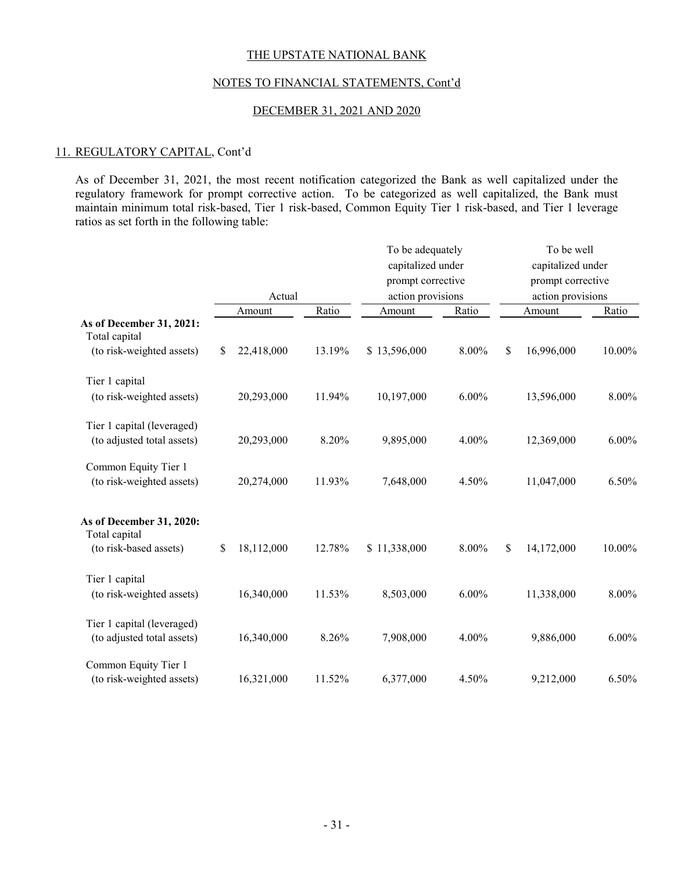#### NOTES TO FINANCIAL STATEMENTS, Cont'd

#### DECEMBER 31, 2021 AND 2020

### 11. REGULATORY CAPITAL, Cont'd

As of December 31, 2021, the most recent notification categorized the Bank as well capitalized under the regulatory framework for prompt corrective action. To be categorized as well capitalized, the Bank must maintain minimum total risk-based, Tier 1 risk-based, Common Equity Tier 1 risk-based, and Tier 1 leverage ratios as set forth in the following table:

|                                                                        | Actual |                      |                 | To be adequately<br>capitalized under<br>prompt corrective<br>action provisions |                | To be well<br>capitalized under<br>prompt corrective<br>action provisions |                      |                 |  |
|------------------------------------------------------------------------|--------|----------------------|-----------------|---------------------------------------------------------------------------------|----------------|---------------------------------------------------------------------------|----------------------|-----------------|--|
|                                                                        |        |                      |                 |                                                                                 |                |                                                                           |                      |                 |  |
| As of December 31, 2021:<br>Total capital<br>(to risk-weighted assets) | \$     | Amount<br>22,418,000 | Ratio<br>13.19% | Amount<br>\$13,596,000                                                          | Ratio<br>8.00% | \$                                                                        | Amount<br>16,996,000 | Ratio<br>10.00% |  |
| Tier 1 capital<br>(to risk-weighted assets)                            |        | 20,293,000           | 11.94%          | 10,197,000                                                                      | $6.00\%$       |                                                                           | 13,596,000           | 8.00%           |  |
| Tier 1 capital (leveraged)<br>(to adjusted total assets)               |        | 20,293,000           | 8.20%           | 9,895,000                                                                       | 4.00%          |                                                                           | 12,369,000           | $6.00\%$        |  |
| Common Equity Tier 1<br>(to risk-weighted assets)                      |        | 20,274,000           | 11.93%          | 7,648,000                                                                       | 4.50%          |                                                                           | 11,047,000           | 6.50%           |  |
| As of December 31, 2020:<br>Total capital<br>(to risk-based assets)    | \$     | 18,112,000           | 12.78%          | \$11,338,000                                                                    | $8.00\%$       | \$                                                                        | 14,172,000           | 10.00%          |  |
| Tier 1 capital<br>(to risk-weighted assets)                            |        | 16,340,000           | 11.53%          | 8,503,000                                                                       | $6.00\%$       |                                                                           | 11,338,000           | 8.00%           |  |
| Tier 1 capital (leveraged)<br>(to adjusted total assets)               |        | 16,340,000           | 8.26%           | 7,908,000                                                                       | 4.00%          |                                                                           | 9,886,000            | $6.00\%$        |  |
| Common Equity Tier 1<br>(to risk-weighted assets)                      |        | 16,321,000           | 11.52%          | 6,377,000                                                                       | 4.50%          |                                                                           | 9,212,000            | 6.50%           |  |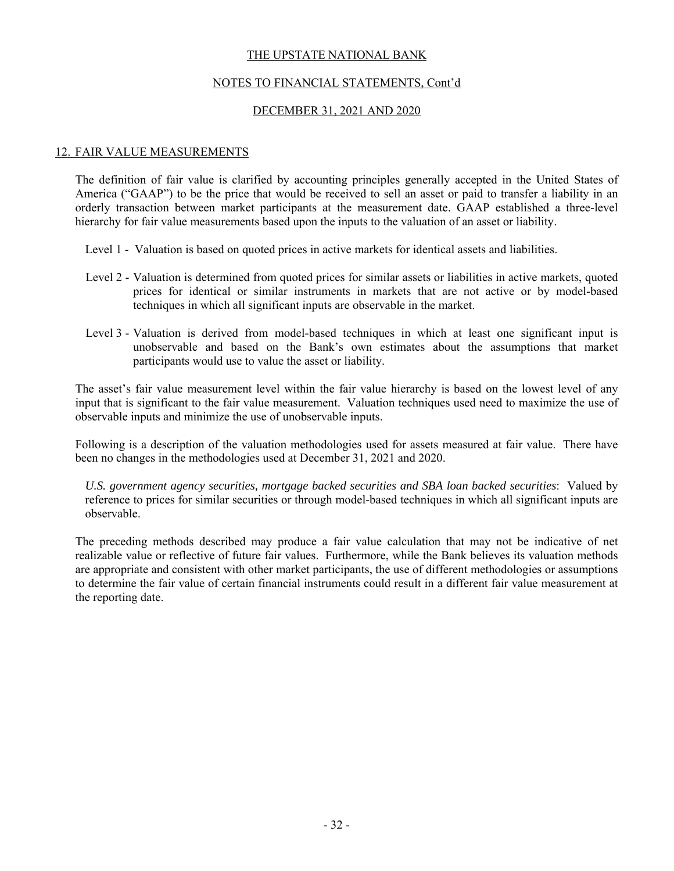# NOTES TO FINANCIAL STATEMENTS, Cont'd

### DECEMBER 31, 2021 AND 2020

### 12. FAIR VALUE MEASUREMENTS

The definition of fair value is clarified by accounting principles generally accepted in the United States of America ("GAAP") to be the price that would be received to sell an asset or paid to transfer a liability in an orderly transaction between market participants at the measurement date. GAAP established a three-level hierarchy for fair value measurements based upon the inputs to the valuation of an asset or liability.

Level 1 - Valuation is based on quoted prices in active markets for identical assets and liabilities.

- Level 2 Valuation is determined from quoted prices for similar assets or liabilities in active markets, quoted prices for identical or similar instruments in markets that are not active or by model-based techniques in which all significant inputs are observable in the market.
- Level 3 Valuation is derived from model-based techniques in which at least one significant input is unobservable and based on the Bank's own estimates about the assumptions that market participants would use to value the asset or liability.

The asset's fair value measurement level within the fair value hierarchy is based on the lowest level of any input that is significant to the fair value measurement. Valuation techniques used need to maximize the use of observable inputs and minimize the use of unobservable inputs.

Following is a description of the valuation methodologies used for assets measured at fair value. There have been no changes in the methodologies used at December 31, 2021 and 2020.

*U.S. government agency securities, mortgage backed securities and SBA loan backed securities*: Valued by reference to prices for similar securities or through model-based techniques in which all significant inputs are observable.

The preceding methods described may produce a fair value calculation that may not be indicative of net realizable value or reflective of future fair values. Furthermore, while the Bank believes its valuation methods are appropriate and consistent with other market participants, the use of different methodologies or assumptions to determine the fair value of certain financial instruments could result in a different fair value measurement at the reporting date.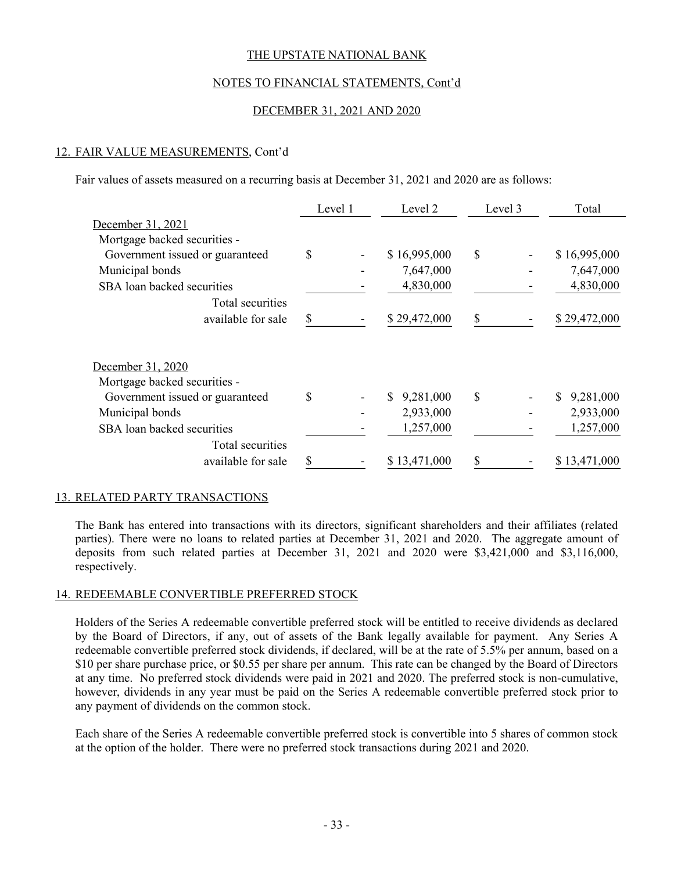# NOTES TO FINANCIAL STATEMENTS, Cont'd

### DECEMBER 31, 2021 AND 2020

# 12. FAIR VALUE MEASUREMENTS, Cont'd

Fair values of assets measured on a recurring basis at December 31, 2021 and 2020 are as follows:

|                                 | Level 1 | Level 2      | Level 3 | Total           |
|---------------------------------|---------|--------------|---------|-----------------|
| December 31, 2021               |         |              |         |                 |
| Mortgage backed securities -    |         |              |         |                 |
| Government issued or guaranteed | \$      | \$16,995,000 | \$      | \$16,995,000    |
| Municipal bonds                 |         | 7,647,000    |         | 7,647,000       |
| SBA loan backed securities      |         | 4,830,000    |         | 4,830,000       |
| Total securities                |         |              |         |                 |
| available for sale              | \$      | \$29,472,000 | \$      | \$29,472,000    |
|                                 |         |              |         |                 |
| December 31, 2020               |         |              |         |                 |
| Mortgage backed securities -    |         |              |         |                 |
| Government issued or guaranteed | \$      | 9,281,000    | \$      | 9,281,000<br>S. |
| Municipal bonds                 |         | 2,933,000    |         | 2,933,000       |
| SBA loan backed securities      |         | 1,257,000    |         | 1,257,000       |
| Total securities                |         |              |         |                 |
| available for sale              | \$      | \$13,471,000 | \$      | \$13,471,000    |

### 13. RELATED PARTY TRANSACTIONS

The Bank has entered into transactions with its directors, significant shareholders and their affiliates (related parties). There were no loans to related parties at December 31, 2021 and 2020. The aggregate amount of deposits from such related parties at December 31, 2021 and 2020 were \$3,421,000 and \$3,116,000, respectively.

# 14. REDEEMABLE CONVERTIBLE PREFERRED STOCK

Holders of the Series A redeemable convertible preferred stock will be entitled to receive dividends as declared by the Board of Directors, if any, out of assets of the Bank legally available for payment. Any Series A redeemable convertible preferred stock dividends, if declared, will be at the rate of 5.5% per annum, based on a \$10 per share purchase price, or \$0.55 per share per annum. This rate can be changed by the Board of Directors at any time. No preferred stock dividends were paid in 2021 and 2020. The preferred stock is non-cumulative, however, dividends in any year must be paid on the Series A redeemable convertible preferred stock prior to any payment of dividends on the common stock.

Each share of the Series A redeemable convertible preferred stock is convertible into 5 shares of common stock at the option of the holder. There were no preferred stock transactions during 2021 and 2020.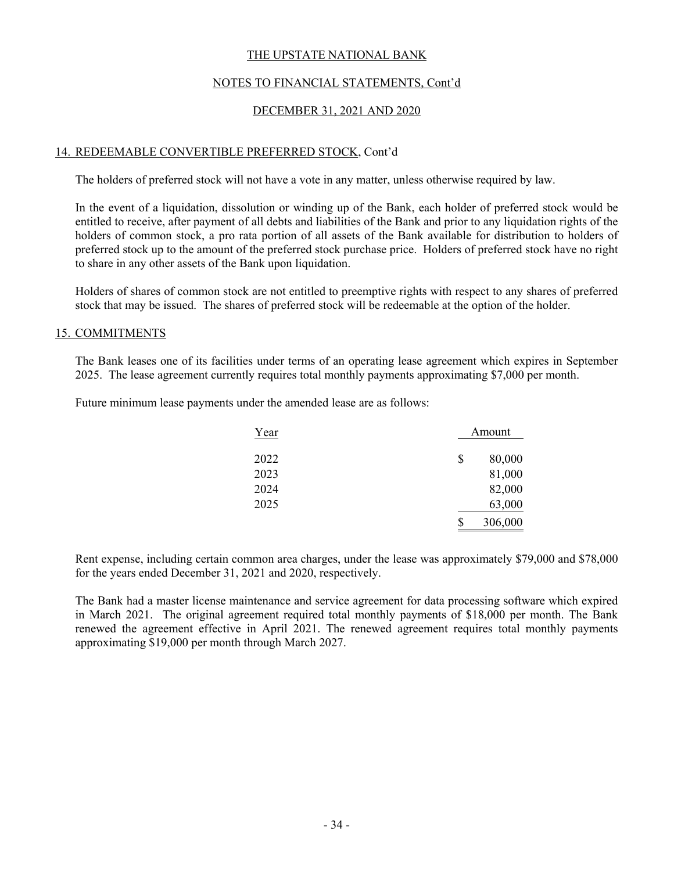# NOTES TO FINANCIAL STATEMENTS, Cont'd

### DECEMBER 31, 2021 AND 2020

### 14. REDEEMABLE CONVERTIBLE PREFERRED STOCK, Cont'd

The holders of preferred stock will not have a vote in any matter, unless otherwise required by law.

In the event of a liquidation, dissolution or winding up of the Bank, each holder of preferred stock would be entitled to receive, after payment of all debts and liabilities of the Bank and prior to any liquidation rights of the holders of common stock, a pro rata portion of all assets of the Bank available for distribution to holders of preferred stock up to the amount of the preferred stock purchase price. Holders of preferred stock have no right to share in any other assets of the Bank upon liquidation.

Holders of shares of common stock are not entitled to preemptive rights with respect to any shares of preferred stock that may be issued. The shares of preferred stock will be redeemable at the option of the holder.

#### 15. COMMITMENTS

The Bank leases one of its facilities under terms of an operating lease agreement which expires in September 2025. The lease agreement currently requires total monthly payments approximating \$7,000 per month.

Future minimum lease payments under the amended lease are as follows:

| Year |    | Amount  |  |  |
|------|----|---------|--|--|
| 2022 | \$ | 80,000  |  |  |
| 2023 |    | 81,000  |  |  |
| 2024 |    | 82,000  |  |  |
| 2025 |    | 63,000  |  |  |
|      | S  | 306,000 |  |  |

Rent expense, including certain common area charges, under the lease was approximately \$79,000 and \$78,000 for the years ended December 31, 2021 and 2020, respectively.

The Bank had a master license maintenance and service agreement for data processing software which expired in March 2021. The original agreement required total monthly payments of \$18,000 per month. The Bank renewed the agreement effective in April 2021. The renewed agreement requires total monthly payments approximating \$19,000 per month through March 2027.